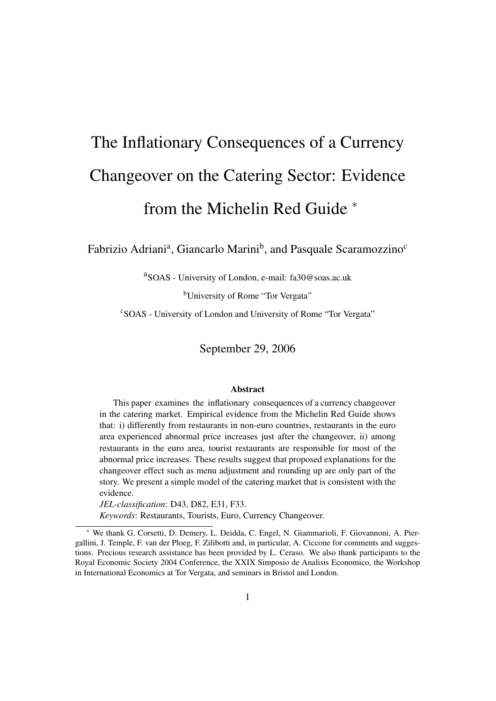# The Inflationary Consequences of a Currency Changeover on the Catering Sector: Evidence from the Michelin Red Guide  $*$

Fabrizio Adriani<sup>a</sup>, Giancarlo Marini<sup>b</sup>, and Pasquale Scaramozzino<sup>c</sup>

a<br>SOAS - University of London, e-mail: fa30@soas.ac.uk

<sup>b</sup>University of Rome "Tor Vergata"

cSOAS - University of London and University of Rome "Tor Vergata"

September 29, 2006

#### Abstract

This paper examines the inflationary consequences of a currency changeover in the catering market. Empirical evidence from the Michelin Red Guide shows that: i) differently from restaurants in non-euro countries, restaurants in the euro area experienced abnormal price increases just after the changeover, ii) among restaurants in the euro area, tourist restaurants are responsible for most of the abnormal price increases. These results suggest that proposed explanations for the changeover effect such as menu adjustment and rounding up are only part of the story. We present a simple model of the catering market that is consistent with the evidence.

*JEL-classification*: D43, D82, E31, F33.

*Keywords*: Restaurants, Tourists, Euro, Currency Changeover.

<sup>∗</sup> We thank G. Corsetti, D. Demery, L. Deidda, C. Engel, N. Giammarioli, F. Giovannoni, A. Piergallini, J. Temple, F. van der Ploeg, F. Zilibotti and, in particular, A. Ciccone for comments and suggestions. Precious research assistance has been provided by L. Ceraso. We also thank participants to the Royal Economic Society 2004 Conference, the XXIX Simposio de Analisis Economico, the Workshop in International Economics at Tor Vergata, and seminars in Bristol and London.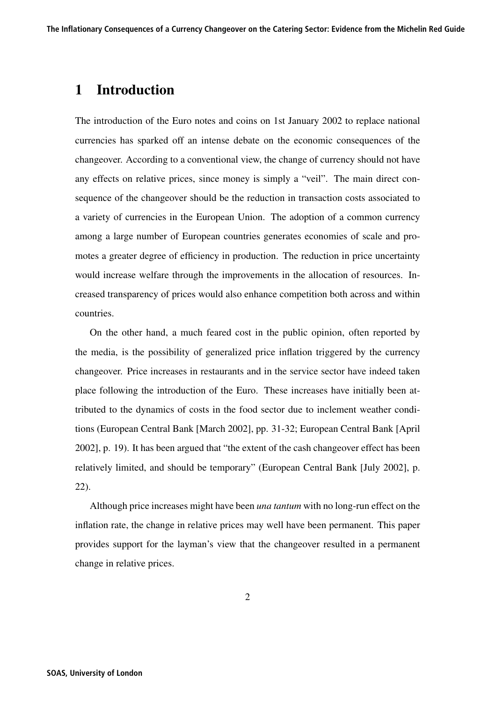# 1 Introduction

The introduction of the Euro notes and coins on 1st January 2002 to replace national currencies has sparked off an intense debate on the economic consequences of the changeover. According to a conventional view, the change of currency should not have any effects on relative prices, since money is simply a "veil". The main direct consequence of the changeover should be the reduction in transaction costs associated to a variety of currencies in the European Union. The adoption of a common currency among a large number of European countries generates economies of scale and promotes a greater degree of efficiency in production. The reduction in price uncertainty would increase welfare through the improvements in the allocation of resources. Increased transparency of prices would also enhance competition both across and within countries.

On the other hand, a much feared cost in the public opinion, often reported by the media, is the possibility of generalized price inflation triggered by the currency changeover. Price increases in restaurants and in the service sector have indeed taken place following the introduction of the Euro. These increases have initially been attributed to the dynamics of costs in the food sector due to inclement weather conditions (European Central Bank [March 2002], pp. 31-32; European Central Bank [April 2002], p. 19). It has been argued that "the extent of the cash changeover effect has been relatively limited, and should be temporary" (European Central Bank [July 2002], p. 22).

Although price increases might have been *una tantum* with no long-run effect on the inflation rate, the change in relative prices may well have been permanent. This paper provides support for the layman's view that the changeover resulted in a permanent change in relative prices.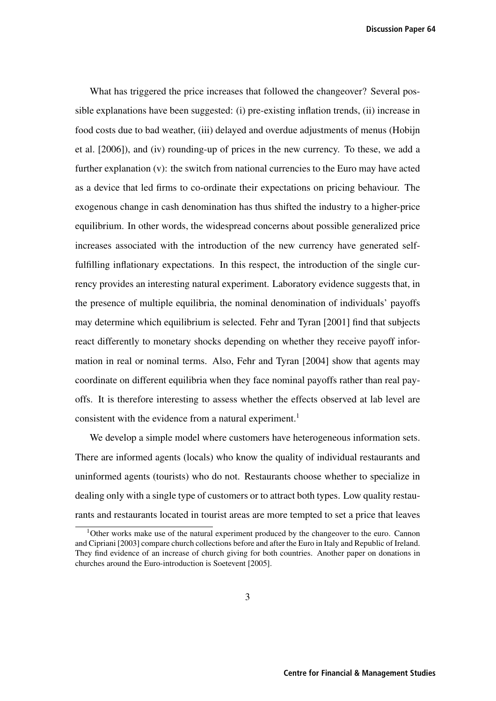**Discussion Paper 64**

What has triggered the price increases that followed the changeover? Several possible explanations have been suggested: (i) pre-existing inflation trends, (ii) increase in food costs due to bad weather, (iii) delayed and overdue adjustments of menus (Hobijn et al. [2006]), and (iv) rounding-up of prices in the new currency. To these, we add a further explanation (v): the switch from national currencies to the Euro may have acted as a device that led firms to co-ordinate their expectations on pricing behaviour. The exogenous change in cash denomination has thus shifted the industry to a higher-price equilibrium. In other words, the widespread concerns about possible generalized price increases associated with the introduction of the new currency have generated selffulfilling inflationary expectations. In this respect, the introduction of the single currency provides an interesting natural experiment. Laboratory evidence suggests that, in the presence of multiple equilibria, the nominal denomination of individuals' payoffs may determine which equilibrium is selected. Fehr and Tyran [2001] find that subjects react differently to monetary shocks depending on whether they receive payoff information in real or nominal terms. Also, Fehr and Tyran [2004] show that agents may coordinate on different equilibria when they face nominal payoffs rather than real payoffs. It is therefore interesting to assess whether the effects observed at lab level are consistent with the evidence from a natural experiment.<sup>1</sup>

We develop a simple model where customers have heterogeneous information sets. There are informed agents (locals) who know the quality of individual restaurants and uninformed agents (tourists) who do not. Restaurants choose whether to specialize in dealing only with a single type of customers or to attract both types. Low quality restaurants and restaurants located in tourist areas are more tempted to set a price that leaves

<sup>&</sup>lt;sup>1</sup>Other works make use of the natural experiment produced by the changeover to the euro. Cannon and Cipriani [2003] compare church collections before and after the Euro in Italy and Republic of Ireland. They find evidence of an increase of church giving for both countries. Another paper on donations in churches around the Euro-introduction is Soetevent [2005].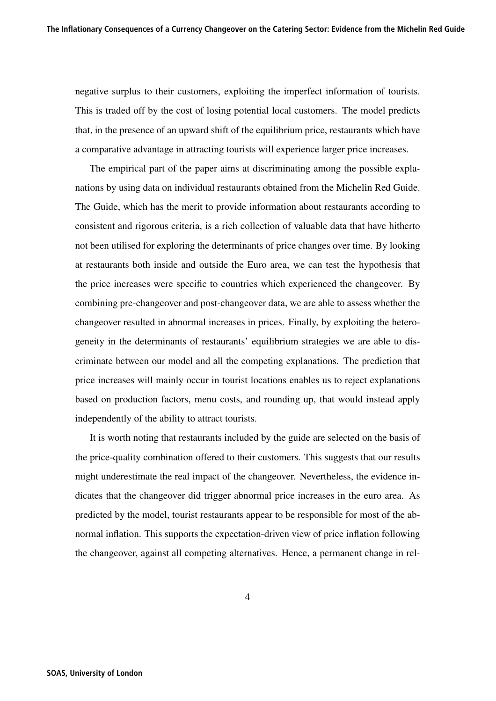negative surplus to their customers, exploiting the imperfect information of tourists. This is traded off by the cost of losing potential local customers. The model predicts that, in the presence of an upward shift of the equilibrium price, restaurants which have a comparative advantage in attracting tourists will experience larger price increases.

The empirical part of the paper aims at discriminating among the possible explanations by using data on individual restaurants obtained from the Michelin Red Guide. The Guide, which has the merit to provide information about restaurants according to consistent and rigorous criteria, is a rich collection of valuable data that have hitherto not been utilised for exploring the determinants of price changes over time. By looking at restaurants both inside and outside the Euro area, we can test the hypothesis that the price increases were specific to countries which experienced the changeover. By combining pre-changeover and post-changeover data, we are able to assess whether the changeover resulted in abnormal increases in prices. Finally, by exploiting the heterogeneity in the determinants of restaurants' equilibrium strategies we are able to discriminate between our model and all the competing explanations. The prediction that price increases will mainly occur in tourist locations enables us to reject explanations based on production factors, menu costs, and rounding up, that would instead apply independently of the ability to attract tourists.

It is worth noting that restaurants included by the guide are selected on the basis of the price-quality combination offered to their customers. This suggests that our results might underestimate the real impact of the changeover. Nevertheless, the evidence indicates that the changeover did trigger abnormal price increases in the euro area. As predicted by the model, tourist restaurants appear to be responsible for most of the abnormal inflation. This supports the expectation-driven view of price inflation following the changeover, against all competing alternatives. Hence, a permanent change in rel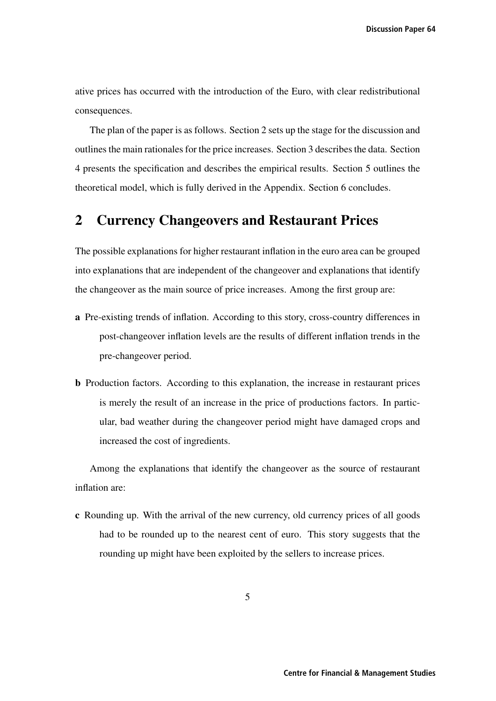ative prices has occurred with the introduction of the Euro, with clear redistributional consequences.

The plan of the paper is as follows. Section 2 sets up the stage for the discussion and outlines the main rationales for the price increases. Section 3 describes the data. Section 4 presents the specification and describes the empirical results. Section 5 outlines the theoretical model, which is fully derived in the Appendix. Section 6 concludes.

## 2 Currency Changeovers and Restaurant Prices

The possible explanations for higher restaurant inflation in the euro area can be grouped into explanations that are independent of the changeover and explanations that identify the changeover as the main source of price increases. Among the first group are:

- a Pre-existing trends of inflation. According to this story, cross-country differences in post-changeover inflation levels are the results of different inflation trends in the pre-changeover period.
- b Production factors. According to this explanation, the increase in restaurant prices is merely the result of an increase in the price of productions factors. In particular, bad weather during the changeover period might have damaged crops and increased the cost of ingredients.

Among the explanations that identify the changeover as the source of restaurant inflation are:

c Rounding up. With the arrival of the new currency, old currency prices of all goods had to be rounded up to the nearest cent of euro. This story suggests that the rounding up might have been exploited by the sellers to increase prices.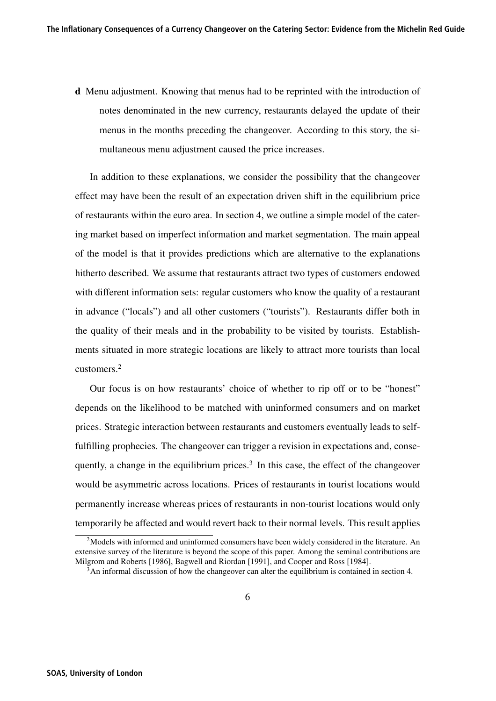d Menu adjustment. Knowing that menus had to be reprinted with the introduction of notes denominated in the new currency, restaurants delayed the update of their menus in the months preceding the changeover. According to this story, the simultaneous menu adjustment caused the price increases.

In addition to these explanations, we consider the possibility that the changeover effect may have been the result of an expectation driven shift in the equilibrium price of restaurants within the euro area. In section 4, we outline a simple model of the catering market based on imperfect information and market segmentation. The main appeal of the model is that it provides predictions which are alternative to the explanations hitherto described. We assume that restaurants attract two types of customers endowed with different information sets: regular customers who know the quality of a restaurant in advance ("locals") and all other customers ("tourists"). Restaurants differ both in the quality of their meals and in the probability to be visited by tourists. Establishments situated in more strategic locations are likely to attract more tourists than local customers.<sup>2</sup>

Our focus is on how restaurants' choice of whether to rip off or to be "honest" depends on the likelihood to be matched with uninformed consumers and on market prices. Strategic interaction between restaurants and customers eventually leads to selffulfilling prophecies. The changeover can trigger a revision in expectations and, consequently, a change in the equilibrium prices. $3 \text{ In this case, the effect of the change over }$ would be asymmetric across locations. Prices of restaurants in tourist locations would permanently increase whereas prices of restaurants in non-tourist locations would only temporarily be affected and would revert back to their normal levels. This result applies

<sup>&</sup>lt;sup>2</sup>Models with informed and uninformed consumers have been widely considered in the literature. An extensive survey of the literature is beyond the scope of this paper. Among the seminal contributions are Milgrom and Roberts [1986], Bagwell and Riordan [1991], and Cooper and Ross [1984].

 $3$ An informal discussion of how the changeover can alter the equilibrium is contained in section 4.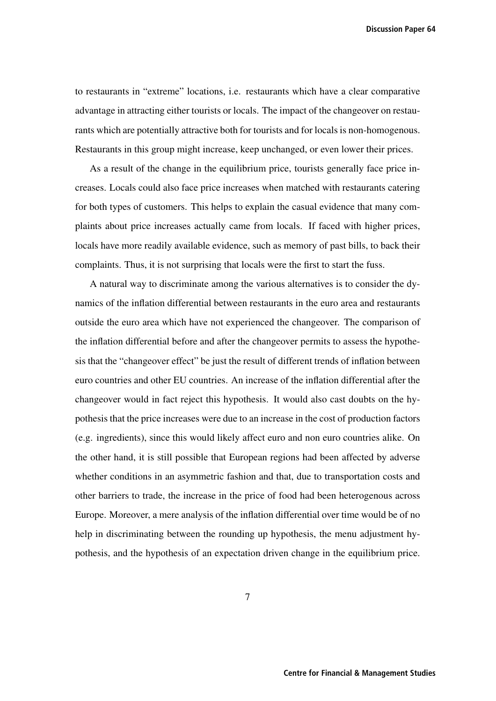**Discussion Paper 64**

to restaurants in "extreme" locations, i.e. restaurants which have a clear comparative advantage in attracting either tourists or locals. The impact of the changeover on restaurants which are potentially attractive both for tourists and for locals is non-homogenous. Restaurants in this group might increase, keep unchanged, or even lower their prices.

As a result of the change in the equilibrium price, tourists generally face price increases. Locals could also face price increases when matched with restaurants catering for both types of customers. This helps to explain the casual evidence that many complaints about price increases actually came from locals. If faced with higher prices, locals have more readily available evidence, such as memory of past bills, to back their complaints. Thus, it is not surprising that locals were the first to start the fuss.

A natural way to discriminate among the various alternatives is to consider the dynamics of the inflation differential between restaurants in the euro area and restaurants outside the euro area which have not experienced the changeover. The comparison of the inflation differential before and after the changeover permits to assess the hypothesis that the "changeover effect" be just the result of different trends of inflation between euro countries and other EU countries. An increase of the inflation differential after the changeover would in fact reject this hypothesis. It would also cast doubts on the hypothesis that the price increases were due to an increase in the cost of production factors (e.g. ingredients), since this would likely affect euro and non euro countries alike. On the other hand, it is still possible that European regions had been affected by adverse whether conditions in an asymmetric fashion and that, due to transportation costs and other barriers to trade, the increase in the price of food had been heterogenous across Europe. Moreover, a mere analysis of the inflation differential over time would be of no help in discriminating between the rounding up hypothesis, the menu adjustment hypothesis, and the hypothesis of an expectation driven change in the equilibrium price.

7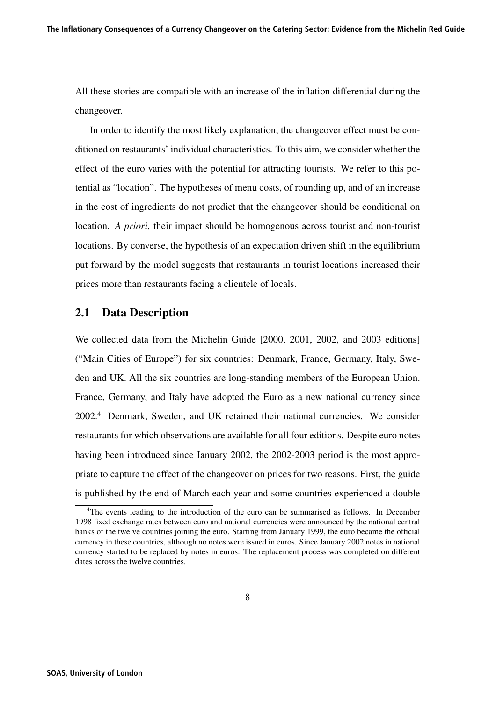All these stories are compatible with an increase of the inflation differential during the changeover.

In order to identify the most likely explanation, the changeover effect must be conditioned on restaurants' individual characteristics. To this aim, we consider whether the effect of the euro varies with the potential for attracting tourists. We refer to this potential as "location". The hypotheses of menu costs, of rounding up, and of an increase in the cost of ingredients do not predict that the changeover should be conditional on location. *A priori*, their impact should be homogenous across tourist and non-tourist locations. By converse, the hypothesis of an expectation driven shift in the equilibrium put forward by the model suggests that restaurants in tourist locations increased their prices more than restaurants facing a clientele of locals.

#### 2.1 Data Description

We collected data from the Michelin Guide [2000, 2001, 2002, and 2003 editions] ("Main Cities of Europe") for six countries: Denmark, France, Germany, Italy, Sweden and UK. All the six countries are long-standing members of the European Union. France, Germany, and Italy have adopted the Euro as a new national currency since 2002.<sup>4</sup> Denmark, Sweden, and UK retained their national currencies. We consider restaurants for which observations are available for all four editions. Despite euro notes having been introduced since January 2002, the 2002-2003 period is the most appropriate to capture the effect of the changeover on prices for two reasons. First, the guide is published by the end of March each year and some countries experienced a double

<sup>&</sup>lt;sup>4</sup>The events leading to the introduction of the euro can be summarised as follows. In December 1998 fixed exchange rates between euro and national currencies were announced by the national central banks of the twelve countries joining the euro. Starting from January 1999, the euro became the official currency in these countries, although no notes were issued in euros. Since January 2002 notes in national currency started to be replaced by notes in euros. The replacement process was completed on different dates across the twelve countries.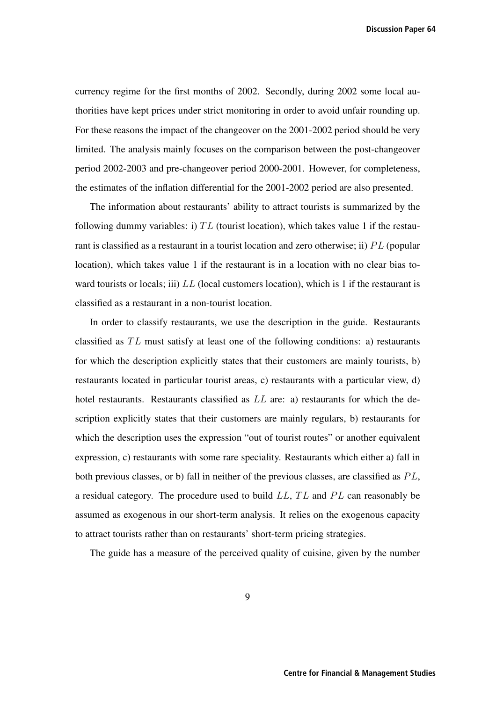**Discussion Paper 64**

currency regime for the first months of 2002. Secondly, during 2002 some local authorities have kept prices under strict monitoring in order to avoid unfair rounding up. For these reasons the impact of the changeover on the 2001-2002 period should be very limited. The analysis mainly focuses on the comparison between the post-changeover period 2002-2003 and pre-changeover period 2000-2001. However, for completeness, the estimates of the inflation differential for the 2001-2002 period are also presented.

The information about restaurants' ability to attract tourists is summarized by the following dummy variables: i)  $TL$  (tourist location), which takes value 1 if the restaurant is classified as a restaurant in a tourist location and zero otherwise; ii)  $PL$  (popular location), which takes value 1 if the restaurant is in a location with no clear bias toward tourists or locals; iii)  $LL$  (local customers location), which is 1 if the restaurant is classified as a restaurant in a non-tourist location.

In order to classify restaurants, we use the description in the guide. Restaurants classified as  $TL$  must satisfy at least one of the following conditions: a) restaurants for which the description explicitly states that their customers are mainly tourists, b) restaurants located in particular tourist areas, c) restaurants with a particular view, d) hotel restaurants. Restaurants classified as  $LL$  are: a) restaurants for which the description explicitly states that their customers are mainly regulars, b) restaurants for which the description uses the expression "out of tourist routes" or another equivalent expression, c) restaurants with some rare speciality. Restaurants which either a) fall in both previous classes, or b) fall in neither of the previous classes, are classified as  $PL$ , a residual category. The procedure used to build  $LL$ ,  $TL$  and  $PL$  can reasonably be assumed as exogenous in our short-term analysis. It relies on the exogenous capacity to attract tourists rather than on restaurants' short-term pricing strategies.

The guide has a measure of the perceived quality of cuisine, given by the number

9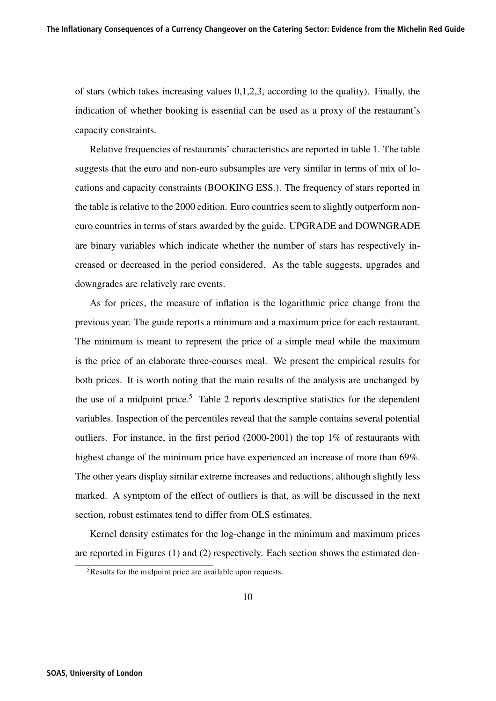of stars (which takes increasing values 0,1,2,3, according to the quality). Finally, the indication of whether booking is essential can be used as a proxy of the restaurant's capacity constraints.

Relative frequencies of restaurants' characteristics are reported in table 1. The table suggests that the euro and non-euro subsamples are very similar in terms of mix of locations and capacity constraints (BOOKING ESS.). The frequency of stars reported in the table is relative to the 2000 edition. Euro countries seem to slightly outperform noneuro countries in terms of stars awarded by the guide. UPGRADE and DOWNGRADE are binary variables which indicate whether the number of stars has respectively increased or decreased in the period considered. As the table suggests, upgrades and downgrades are relatively rare events.

As for prices, the measure of inflation is the logarithmic price change from the previous year. The guide reports a minimum and a maximum price for each restaurant. The minimum is meant to represent the price of a simple meal while the maximum is the price of an elaborate three-courses meal. We present the empirical results for both prices. It is worth noting that the main results of the analysis are unchanged by the use of a midpoint price.<sup>5</sup> Table 2 reports descriptive statistics for the dependent variables. Inspection of the percentiles reveal that the sample contains several potential outliers. For instance, in the first period (2000-2001) the top 1% of restaurants with highest change of the minimum price have experienced an increase of more than 69%. The other years display similar extreme increases and reductions, although slightly less marked. A symptom of the effect of outliers is that, as will be discussed in the next section, robust estimates tend to differ from OLS estimates.

Kernel density estimates for the log-change in the minimum and maximum prices are reported in Figures (1) and (2) respectively. Each section shows the estimated den-

<sup>5</sup>Results for the midpoint price are available upon requests.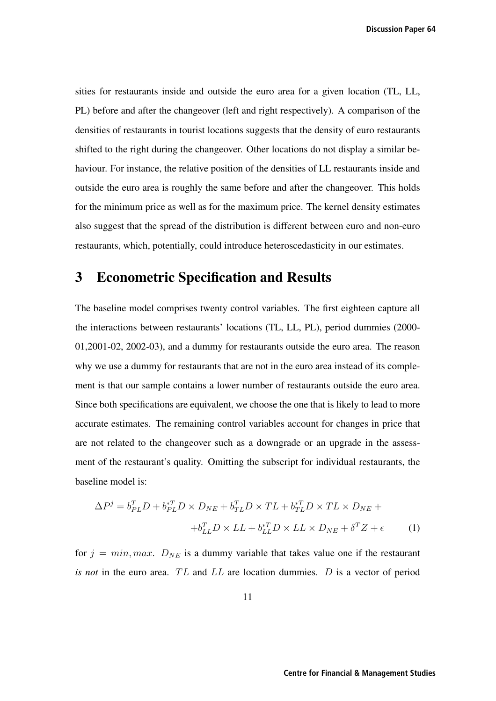**Discussion Paper 64**

sities for restaurants inside and outside the euro area for a given location (TL, LL, PL) before and after the changeover (left and right respectively). A comparison of the densities of restaurants in tourist locations suggests that the density of euro restaurants shifted to the right during the changeover. Other locations do not display a similar behaviour. For instance, the relative position of the densities of LL restaurants inside and outside the euro area is roughly the same before and after the changeover. This holds for the minimum price as well as for the maximum price. The kernel density estimates also suggest that the spread of the distribution is different between euro and non-euro restaurants, which, potentially, could introduce heteroscedasticity in our estimates.

## 3 Econometric Specification and Results

The baseline model comprises twenty control variables. The first eighteen capture all the interactions between restaurants' locations (TL, LL, PL), period dummies (2000- 01,2001-02, 2002-03), and a dummy for restaurants outside the euro area. The reason why we use a dummy for restaurants that are not in the euro area instead of its complement is that our sample contains a lower number of restaurants outside the euro area. Since both specifications are equivalent, we choose the one that is likely to lead to more accurate estimates. The remaining control variables account for changes in price that are not related to the changeover such as a downgrade or an upgrade in the assessment of the restaurant's quality. Omitting the subscript for individual restaurants, the baseline model is:

$$
\Delta P^j = b_{PL}^T D + b_{PL}^{*T} D \times D_{NE} + b_{TL}^T D \times TL + b_{TL}^{*T} D \times TL \times D_{NE} ++ b_{LL}^T D \times LL + b_{LL}^{*T} D \times LL \times D_{NE} + \delta^T Z + \epsilon
$$
 (1)

for  $j = min, max$ .  $D_{NE}$  is a dummy variable that takes value one if the restaurant *is not* in the euro area.  $TL$  and  $LL$  are location dummies.  $D$  is a vector of period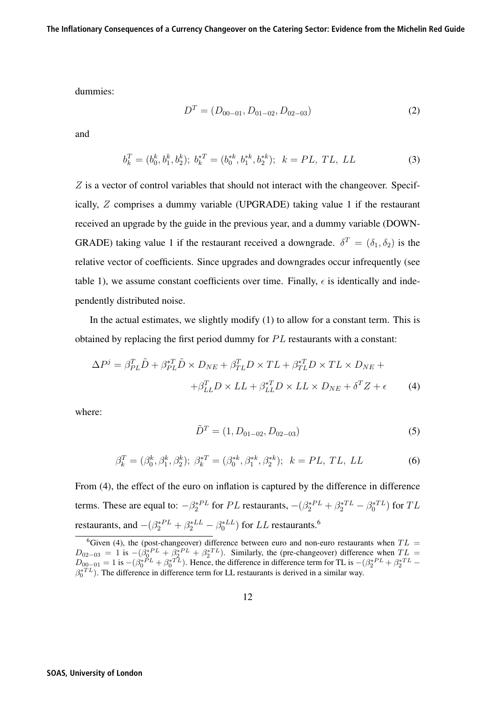dummies:

$$
D^T = (D_{00-01}, D_{01-02}, D_{02-03})
$$
 (2)

and

$$
b_k^T = (b_0^k, b_1^k, b_2^k); \ b_k^{*T} = (b_0^{*k}, b_1^{*k}, b_2^{*k}); \ k = PL, TL, LL
$$
 (3)

Z is a vector of control variables that should not interact with the changeover. Specifically, Z comprises a dummy variable (UPGRADE) taking value 1 if the restaurant received an upgrade by the guide in the previous year, and a dummy variable (DOWN-GRADE) taking value 1 if the restaurant received a downgrade.  $\delta^T = (\delta_1, \delta_2)$  is the relative vector of coefficients. Since upgrades and downgrades occur infrequently (see table 1), we assume constant coefficients over time. Finally,  $\epsilon$  is identically and independently distributed noise.

In the actual estimates, we slightly modify  $(1)$  to allow for a constant term. This is obtained by replacing the first period dummy for  $PL$  restaurants with a constant:

$$
\Delta P^j = \beta_{PL}^T \tilde{D} + \beta_{PL}^{*T} \tilde{D} \times D_{NE} + \beta_{TL}^T D \times TL + \beta_{TL}^{*T} D \times TL \times D_{NE} +
$$
  

$$
+ \beta_{LL}^T D \times LL + \beta_{LL}^{*T} D \times LL \times D_{NE} + \delta^T Z + \epsilon
$$
 (4)

where:

$$
\tilde{D}^T = (1, D_{01-02}, D_{02-03})
$$
\n(5)

$$
\beta_k^T = (\beta_0^k, \beta_1^k, \beta_2^k); \ \beta_k^{*T} = (\beta_0^{*k}, \beta_1^{*k}, \beta_2^{*k}); \ \ k = PL, \ TL, LL
$$
 (6)

From (4), the effect of the euro on inflation is captured by the difference in difference terms. These are equal to:  $-\beta_2^{P_L}$  for PL restaurants,  $-(\beta_2^{P_L} + \beta_2^{P_L} - \beta_0^{P_L})$  for TL restaurants, and  $-(\beta_2^{*PL} + \beta_2^{*LL} - \beta_0^{*LL})$  for LL restaurants.<sup>6</sup>

<sup>&</sup>lt;sup>6</sup>Given (4), the (post-changeover) difference between euro and non-euro restaurants when  $TL =$  $D_{02-03} = 1$  is  $-(\beta_0^*{}^{PL} + \beta_2^*{}^{PL} + \beta_2^*{}^{TL})$ . Similarly, the (pre-changeover) difference when  $TL =$  $D_{00-01} = 1$  is  $-(\beta_0^*{}^{\tilde{PL}} + \beta_0^*{}^{\tilde{TL}})$ . Hence, the difference in difference term for TL is  $-(\beta_2^*{}^{\tilde{PL}} + \beta_2^*{}^{\tilde{TL}} - \beta_0^*{}^{\tilde{TL}})$ . The difference in difference term for LL restaurants is derived in a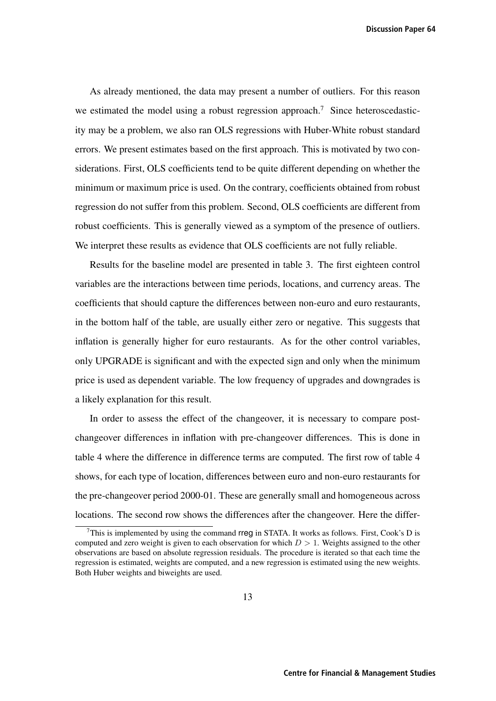**Discussion Paper 64**

As already mentioned, the data may present a number of outliers. For this reason we estimated the model using a robust regression approach.<sup>7</sup> Since heteroscedasticity may be a problem, we also ran OLS regressions with Huber-White robust standard errors. We present estimates based on the first approach. This is motivated by two considerations. First, OLS coefficients tend to be quite different depending on whether the minimum or maximum price is used. On the contrary, coefficients obtained from robust regression do not suffer from this problem. Second, OLS coefficients are different from robust coefficients. This is generally viewed as a symptom of the presence of outliers. We interpret these results as evidence that OLS coefficients are not fully reliable.

Results for the baseline model are presented in table 3. The first eighteen control variables are the interactions between time periods, locations, and currency areas. The coefficients that should capture the differences between non-euro and euro restaurants, in the bottom half of the table, are usually either zero or negative. This suggests that inflation is generally higher for euro restaurants. As for the other control variables, only UPGRADE is significant and with the expected sign and only when the minimum price is used as dependent variable. The low frequency of upgrades and downgrades is a likely explanation for this result.

In order to assess the effect of the changeover, it is necessary to compare postchangeover differences in inflation with pre-changeover differences. This is done in table 4 where the difference in difference terms are computed. The first row of table 4 shows, for each type of location, differences between euro and non-euro restaurants for the pre-changeover period 2000-01. These are generally small and homogeneous across locations. The second row shows the differences after the changeover. Here the differ-

 $7$ This is implemented by using the command rreg in STATA. It works as follows. First, Cook's D is computed and zero weight is given to each observation for which  $D > 1$ . Weights assigned to the other observations are based on absolute regression residuals. The procedure is iterated so that each time the regression is estimated, weights are computed, and a new regression is estimated using the new weights. Both Huber weights and biweights are used.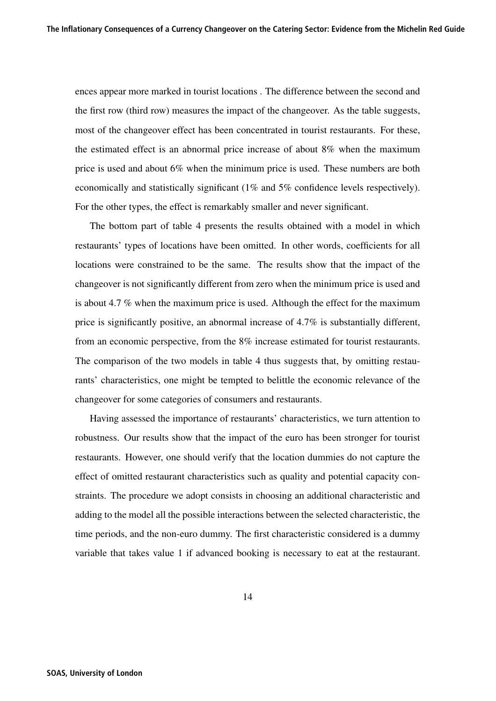ences appear more marked in tourist locations . The difference between the second and the first row (third row) measures the impact of the changeover. As the table suggests, most of the changeover effect has been concentrated in tourist restaurants. For these, the estimated effect is an abnormal price increase of about 8% when the maximum price is used and about 6% when the minimum price is used. These numbers are both economically and statistically significant (1% and 5% confidence levels respectively). For the other types, the effect is remarkably smaller and never significant.

The bottom part of table 4 presents the results obtained with a model in which restaurants' types of locations have been omitted. In other words, coefficients for all locations were constrained to be the same. The results show that the impact of the changeover is not significantly different from zero when the minimum price is used and is about 4.7 % when the maximum price is used. Although the effect for the maximum price is significantly positive, an abnormal increase of 4.7% is substantially different, from an economic perspective, from the 8% increase estimated for tourist restaurants. The comparison of the two models in table 4 thus suggests that, by omitting restaurants' characteristics, one might be tempted to belittle the economic relevance of the changeover for some categories of consumers and restaurants.

Having assessed the importance of restaurants' characteristics, we turn attention to robustness. Our results show that the impact of the euro has been stronger for tourist restaurants. However, one should verify that the location dummies do not capture the effect of omitted restaurant characteristics such as quality and potential capacity constraints. The procedure we adopt consists in choosing an additional characteristic and adding to the model all the possible interactions between the selected characteristic, the time periods, and the non-euro dummy. The first characteristic considered is a dummy variable that takes value 1 if advanced booking is necessary to eat at the restaurant.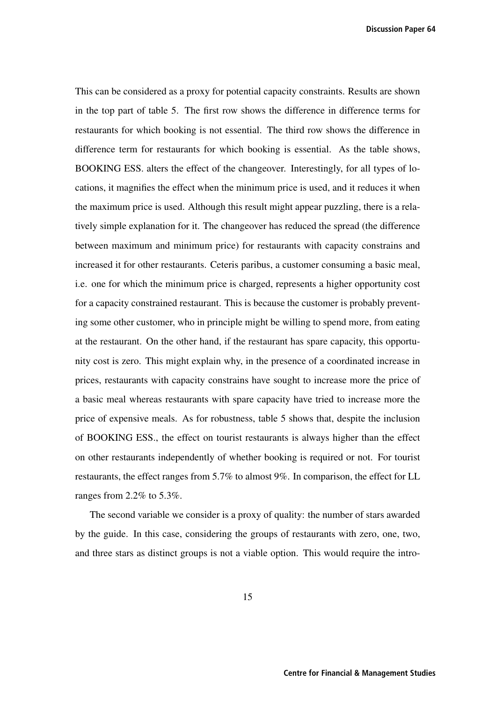**Discussion Paper 64**

This can be considered as a proxy for potential capacity constraints. Results are shown in the top part of table 5. The first row shows the difference in difference terms for restaurants for which booking is not essential. The third row shows the difference in difference term for restaurants for which booking is essential. As the table shows, BOOKING ESS. alters the effect of the changeover. Interestingly, for all types of locations, it magnifies the effect when the minimum price is used, and it reduces it when the maximum price is used. Although this result might appear puzzling, there is a relatively simple explanation for it. The changeover has reduced the spread (the difference between maximum and minimum price) for restaurants with capacity constrains and increased it for other restaurants. Ceteris paribus, a customer consuming a basic meal, i.e. one for which the minimum price is charged, represents a higher opportunity cost for a capacity constrained restaurant. This is because the customer is probably preventing some other customer, who in principle might be willing to spend more, from eating at the restaurant. On the other hand, if the restaurant has spare capacity, this opportunity cost is zero. This might explain why, in the presence of a coordinated increase in prices, restaurants with capacity constrains have sought to increase more the price of a basic meal whereas restaurants with spare capacity have tried to increase more the price of expensive meals. As for robustness, table 5 shows that, despite the inclusion of BOOKING ESS., the effect on tourist restaurants is always higher than the effect on other restaurants independently of whether booking is required or not. For tourist restaurants, the effect ranges from 5.7% to almost 9%. In comparison, the effect for LL ranges from 2.2% to 5.3%.

The second variable we consider is a proxy of quality: the number of stars awarded by the guide. In this case, considering the groups of restaurants with zero, one, two, and three stars as distinct groups is not a viable option. This would require the intro-

15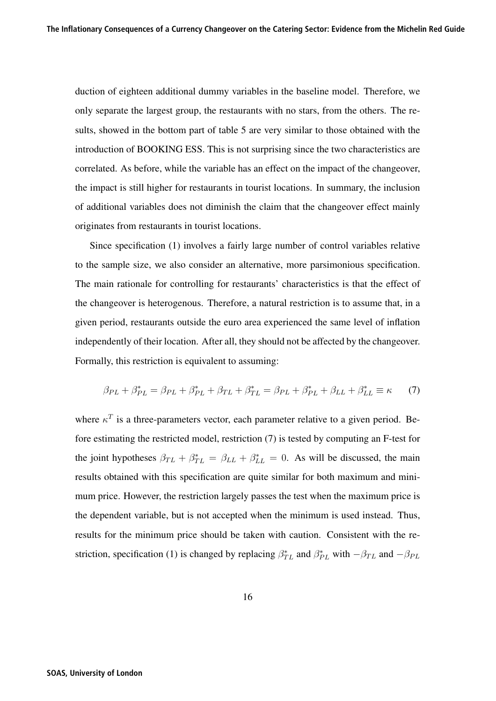duction of eighteen additional dummy variables in the baseline model. Therefore, we only separate the largest group, the restaurants with no stars, from the others. The results, showed in the bottom part of table 5 are very similar to those obtained with the introduction of BOOKING ESS. This is not surprising since the two characteristics are correlated. As before, while the variable has an effect on the impact of the changeover, the impact is still higher for restaurants in tourist locations. In summary, the inclusion of additional variables does not diminish the claim that the changeover effect mainly originates from restaurants in tourist locations.

Since specification (1) involves a fairly large number of control variables relative to the sample size, we also consider an alternative, more parsimonious specification. The main rationale for controlling for restaurants' characteristics is that the effect of the changeover is heterogenous. Therefore, a natural restriction is to assume that, in a given period, restaurants outside the euro area experienced the same level of inflation independently of their location. After all, they should not be affected by the changeover. Formally, this restriction is equivalent to assuming:

$$
\beta_{PL} + \beta_{PL}^* = \beta_{PL} + \beta_{PL}^* + \beta_{TL} + \beta_{TL}^* = \beta_{PL} + \beta_{PL}^* + \beta_{LL} + \beta_{LL}^* \equiv \kappa \tag{7}
$$

where  $\kappa^T$  is a three-parameters vector, each parameter relative to a given period. Before estimating the restricted model, restriction (7) is tested by computing an F-test for the joint hypotheses  $\beta_{TL} + \beta_{TL}^* = \beta_{LL} + \beta_{LL}^* = 0$ . As will be discussed, the main results obtained with this specification are quite similar for both maximum and minimum price. However, the restriction largely passes the test when the maximum price is the dependent variable, but is not accepted when the minimum is used instead. Thus, results for the minimum price should be taken with caution. Consistent with the restriction, specification (1) is changed by replacing  $\beta_{TL}^*$  and  $\beta_{PL}^*$  with  $-\beta_{TL}$  and  $-\beta_{PL}$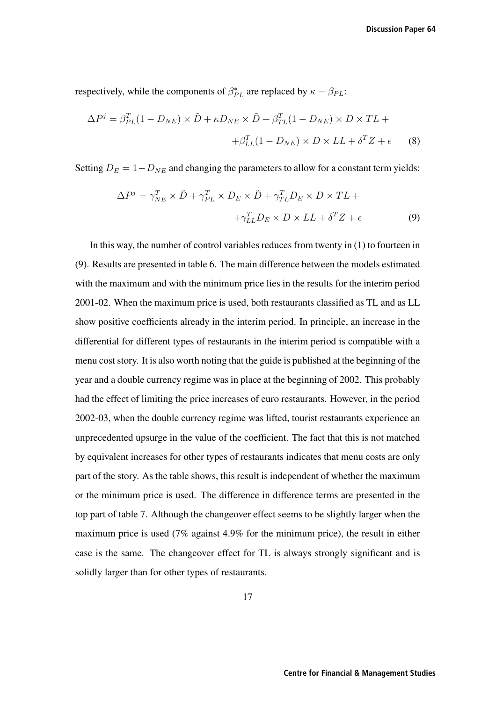respectively, while the components of  $\beta_{PL}^*$  are replaced by  $\kappa - \beta_{PL}$ :

$$
\Delta P^j = \beta_{PL}^T (1 - D_{NE}) \times \tilde{D} + \kappa D_{NE} \times \tilde{D} + \beta_{TL}^T (1 - D_{NE}) \times D \times TL ++\beta_{LL}^T (1 - D_{NE}) \times D \times LL + \delta^T Z + \epsilon
$$
 (8)

Setting  $D_E = 1 - D_{NE}$  and changing the parameters to allow for a constant term yields:

$$
\Delta P^j = \gamma_{NE}^T \times \tilde{D} + \gamma_{PL}^T \times D_E \times \tilde{D} + \gamma_{TL}^T D_E \times D \times TL + \n+ \gamma_{LL}^T D_E \times D \times LL + \delta^T Z + \epsilon
$$
\n(9)

In this way, the number of control variables reduces from twenty in (1) to fourteen in (9). Results are presented in table 6. The main difference between the models estimated with the maximum and with the minimum price lies in the results for the interim period 2001-02. When the maximum price is used, both restaurants classified as TL and as LL show positive coefficients already in the interim period. In principle, an increase in the differential for different types of restaurants in the interim period is compatible with a menu cost story. It is also worth noting that the guide is published at the beginning of the year and a double currency regime was in place at the beginning of 2002. This probably had the effect of limiting the price increases of euro restaurants. However, in the period 2002-03, when the double currency regime was lifted, tourist restaurants experience an unprecedented upsurge in the value of the coefficient. The fact that this is not matched by equivalent increases for other types of restaurants indicates that menu costs are only part of the story. As the table shows, this result is independent of whether the maximum or the minimum price is used. The difference in difference terms are presented in the top part of table 7. Although the changeover effect seems to be slightly larger when the maximum price is used (7% against 4.9% for the minimum price), the result in either case is the same. The changeover effect for TL is always strongly significant and is solidly larger than for other types of restaurants.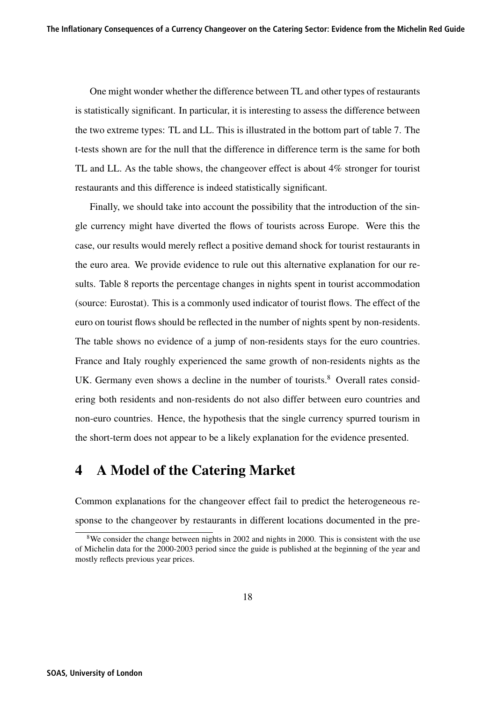One might wonder whether the difference between TL and other types of restaurants is statistically significant. In particular, it is interesting to assess the difference between the two extreme types: TL and LL. This is illustrated in the bottom part of table 7. The t-tests shown are for the null that the difference in difference term is the same for both TL and LL. As the table shows, the changeover effect is about 4% stronger for tourist restaurants and this difference is indeed statistically significant.

Finally, we should take into account the possibility that the introduction of the single currency might have diverted the flows of tourists across Europe. Were this the case, our results would merely reflect a positive demand shock for tourist restaurants in the euro area. We provide evidence to rule out this alternative explanation for our results. Table 8 reports the percentage changes in nights spent in tourist accommodation (source: Eurostat). This is a commonly used indicator of tourist flows. The effect of the euro on tourist flows should be reflected in the number of nights spent by non-residents. The table shows no evidence of a jump of non-residents stays for the euro countries. France and Italy roughly experienced the same growth of non-residents nights as the UK. Germany even shows a decline in the number of tourists. $8$  Overall rates considering both residents and non-residents do not also differ between euro countries and non-euro countries. Hence, the hypothesis that the single currency spurred tourism in the short-term does not appear to be a likely explanation for the evidence presented.

## 4 A Model of the Catering Market

Common explanations for the changeover effect fail to predict the heterogeneous response to the changeover by restaurants in different locations documented in the pre-

<sup>&</sup>lt;sup>8</sup>We consider the change between nights in 2002 and nights in 2000. This is consistent with the use of Michelin data for the 2000-2003 period since the guide is published at the beginning of the year and mostly reflects previous year prices.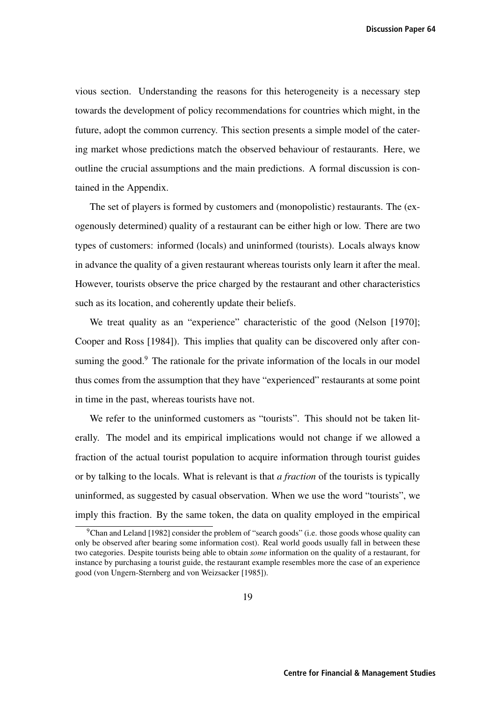**Discussion Paper 64**

vious section. Understanding the reasons for this heterogeneity is a necessary step towards the development of policy recommendations for countries which might, in the future, adopt the common currency. This section presents a simple model of the catering market whose predictions match the observed behaviour of restaurants. Here, we outline the crucial assumptions and the main predictions. A formal discussion is contained in the Appendix.

The set of players is formed by customers and (monopolistic) restaurants. The (exogenously determined) quality of a restaurant can be either high or low. There are two types of customers: informed (locals) and uninformed (tourists). Locals always know in advance the quality of a given restaurant whereas tourists only learn it after the meal. However, tourists observe the price charged by the restaurant and other characteristics such as its location, and coherently update their beliefs.

We treat quality as an "experience" characteristic of the good (Nelson [1970]; Cooper and Ross [1984]). This implies that quality can be discovered only after consuming the good.<sup>9</sup> The rationale for the private information of the locals in our model thus comes from the assumption that they have "experienced" restaurants at some point in time in the past, whereas tourists have not.

We refer to the uninformed customers as "tourists". This should not be taken literally. The model and its empirical implications would not change if we allowed a fraction of the actual tourist population to acquire information through tourist guides or by talking to the locals. What is relevant is that *a fraction* of the tourists is typically uninformed, as suggested by casual observation. When we use the word "tourists", we imply this fraction. By the same token, the data on quality employed in the empirical

<sup>&</sup>lt;sup>9</sup>Chan and Leland [1982] consider the problem of "search goods" (i.e. those goods whose quality can only be observed after bearing some information cost). Real world goods usually fall in between these two categories. Despite tourists being able to obtain *some* information on the quality of a restaurant, for instance by purchasing a tourist guide, the restaurant example resembles more the case of an experience good (von Ungern-Sternberg and von Weizsacker [1985]).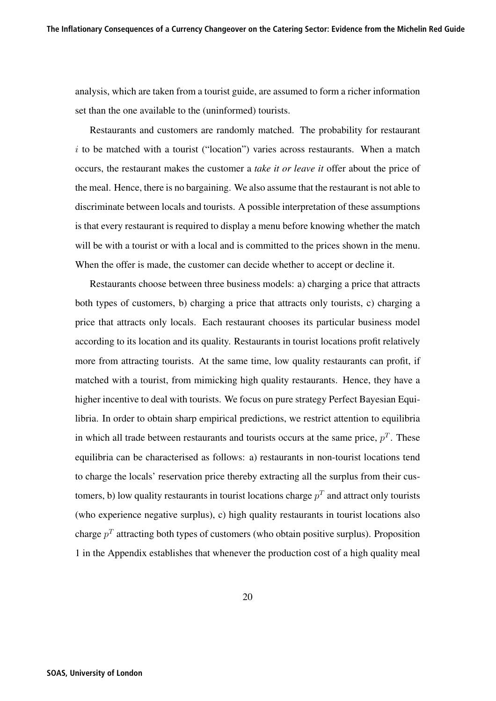analysis, which are taken from a tourist guide, are assumed to form a richer information set than the one available to the (uninformed) tourists.

Restaurants and customers are randomly matched. The probability for restaurant  $i$  to be matched with a tourist ("location") varies across restaurants. When a match occurs, the restaurant makes the customer a *take it or leave it* offer about the price of the meal. Hence, there is no bargaining. We also assume that the restaurant is not able to discriminate between locals and tourists. A possible interpretation of these assumptions is that every restaurant is required to display a menu before knowing whether the match will be with a tourist or with a local and is committed to the prices shown in the menu. When the offer is made, the customer can decide whether to accept or decline it.

Restaurants choose between three business models: a) charging a price that attracts both types of customers, b) charging a price that attracts only tourists, c) charging a price that attracts only locals. Each restaurant chooses its particular business model according to its location and its quality. Restaurants in tourist locations profit relatively more from attracting tourists. At the same time, low quality restaurants can profit, if matched with a tourist, from mimicking high quality restaurants. Hence, they have a higher incentive to deal with tourists. We focus on pure strategy Perfect Bayesian Equilibria. In order to obtain sharp empirical predictions, we restrict attention to equilibria in which all trade between restaurants and tourists occurs at the same price,  $p<sup>T</sup>$ . These equilibria can be characterised as follows: a) restaurants in non-tourist locations tend to charge the locals' reservation price thereby extracting all the surplus from their customers, b) low quality restaurants in tourist locations charge  $p<sup>T</sup>$  and attract only tourists (who experience negative surplus), c) high quality restaurants in tourist locations also charge  $p<sup>T</sup>$  attracting both types of customers (who obtain positive surplus). Proposition 1 in the Appendix establishes that whenever the production cost of a high quality meal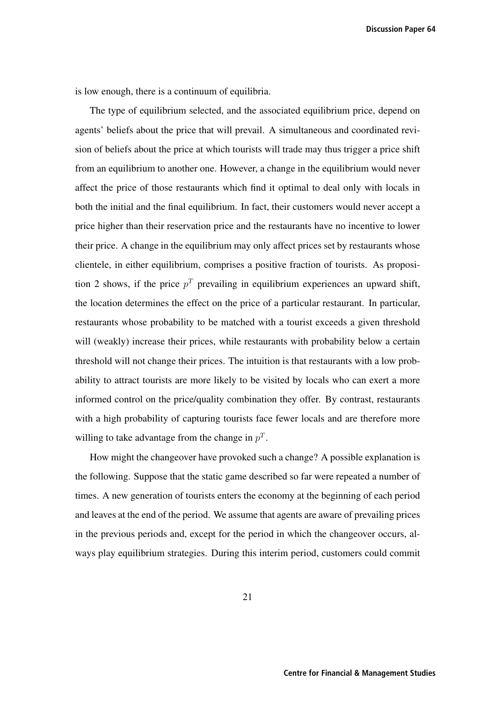**Discussion Paper 64**

is low enough, there is a continuum of equilibria.

The type of equilibrium selected, and the associated equilibrium price, depend on agents' beliefs about the price that will prevail. A simultaneous and coordinated revision of beliefs about the price at which tourists will trade may thus trigger a price shift from an equilibrium to another one. However, a change in the equilibrium would never affect the price of those restaurants which find it optimal to deal only with locals in both the initial and the final equilibrium. In fact, their customers would never accept a price higher than their reservation price and the restaurants have no incentive to lower their price. A change in the equilibrium may only affect prices set by restaurants whose clientele, in either equilibrium, comprises a positive fraction of tourists. As proposition 2 shows, if the price  $p<sup>T</sup>$  prevailing in equilibrium experiences an upward shift, the location determines the effect on the price of a particular restaurant. In particular, restaurants whose probability to be matched with a tourist exceeds a given threshold will (weakly) increase their prices, while restaurants with probability below a certain threshold will not change their prices. The intuition is that restaurants with a low probability to attract tourists are more likely to be visited by locals who can exert a more informed control on the price/quality combination they offer. By contrast, restaurants with a high probability of capturing tourists face fewer locals and are therefore more willing to take advantage from the change in  $p<sup>T</sup>$ .

How might the changeover have provoked such a change? A possible explanation is the following. Suppose that the static game described so far were repeated a number of times. A new generation of tourists enters the economy at the beginning of each period and leaves at the end of the period. We assume that agents are aware of prevailing prices in the previous periods and, except for the period in which the changeover occurs, always play equilibrium strategies. During this interim period, customers could commit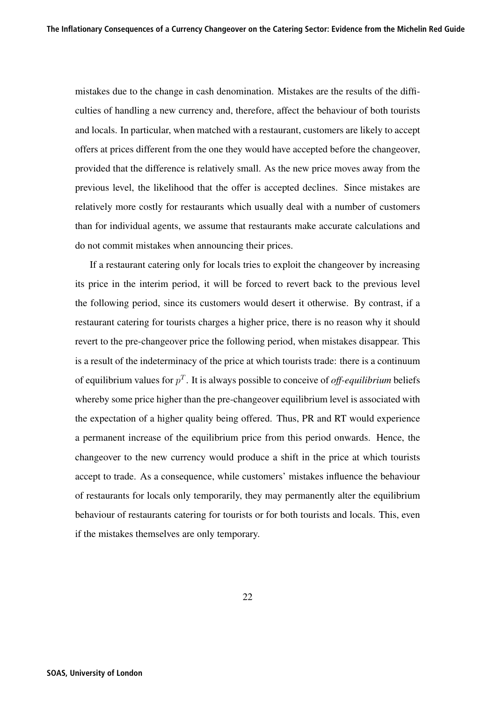mistakes due to the change in cash denomination. Mistakes are the results of the difficulties of handling a new currency and, therefore, affect the behaviour of both tourists and locals. In particular, when matched with a restaurant, customers are likely to accept offers at prices different from the one they would have accepted before the changeover, provided that the difference is relatively small. As the new price moves away from the previous level, the likelihood that the offer is accepted declines. Since mistakes are relatively more costly for restaurants which usually deal with a number of customers than for individual agents, we assume that restaurants make accurate calculations and do not commit mistakes when announcing their prices.

If a restaurant catering only for locals tries to exploit the changeover by increasing its price in the interim period, it will be forced to revert back to the previous level the following period, since its customers would desert it otherwise. By contrast, if a restaurant catering for tourists charges a higher price, there is no reason why it should revert to the pre-changeover price the following period, when mistakes disappear. This is a result of the indeterminacy of the price at which tourists trade: there is a continuum of equilibrium values for  $p<sup>T</sup>$ . It is always possible to conceive of *off-equilibrium* beliefs whereby some price higher than the pre-changeover equilibrium level is associated with the expectation of a higher quality being offered. Thus, PR and RT would experience a permanent increase of the equilibrium price from this period onwards. Hence, the changeover to the new currency would produce a shift in the price at which tourists accept to trade. As a consequence, while customers' mistakes influence the behaviour of restaurants for locals only temporarily, they may permanently alter the equilibrium behaviour of restaurants catering for tourists or for both tourists and locals. This, even if the mistakes themselves are only temporary.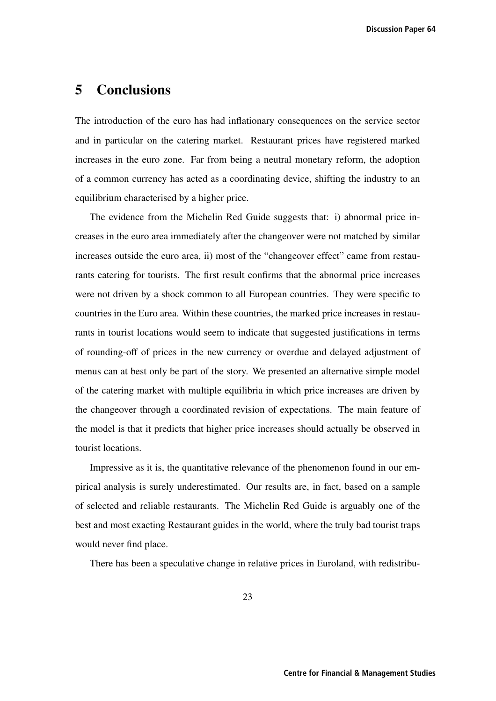# 5 Conclusions

The introduction of the euro has had inflationary consequences on the service sector and in particular on the catering market. Restaurant prices have registered marked increases in the euro zone. Far from being a neutral monetary reform, the adoption of a common currency has acted as a coordinating device, shifting the industry to an equilibrium characterised by a higher price.

The evidence from the Michelin Red Guide suggests that: i) abnormal price increases in the euro area immediately after the changeover were not matched by similar increases outside the euro area, ii) most of the "changeover effect" came from restaurants catering for tourists. The first result confirms that the abnormal price increases were not driven by a shock common to all European countries. They were specific to countries in the Euro area. Within these countries, the marked price increases in restaurants in tourist locations would seem to indicate that suggested justifications in terms of rounding-off of prices in the new currency or overdue and delayed adjustment of menus can at best only be part of the story. We presented an alternative simple model of the catering market with multiple equilibria in which price increases are driven by the changeover through a coordinated revision of expectations. The main feature of the model is that it predicts that higher price increases should actually be observed in tourist locations.

Impressive as it is, the quantitative relevance of the phenomenon found in our empirical analysis is surely underestimated. Our results are, in fact, based on a sample of selected and reliable restaurants. The Michelin Red Guide is arguably one of the best and most exacting Restaurant guides in the world, where the truly bad tourist traps would never find place.

There has been a speculative change in relative prices in Euroland, with redistribu-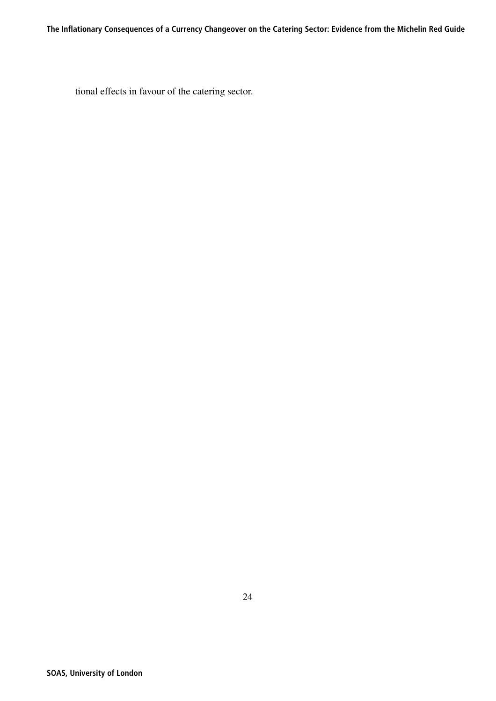tional effects in favour of the catering sector.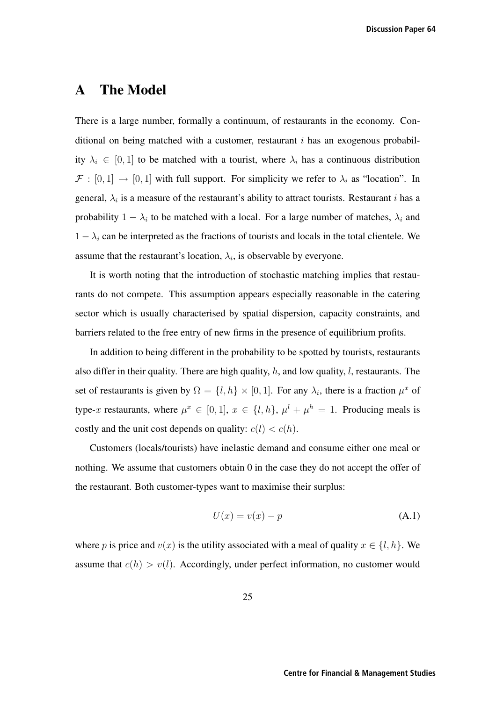## A The Model

There is a large number, formally a continuum, of restaurants in the economy. Conditional on being matched with a customer, restaurant  $i$  has an exogenous probability  $\lambda_i \in [0, 1]$  to be matched with a tourist, where  $\lambda_i$  has a continuous distribution  $\mathcal{F} : [0,1] \to [0,1]$  with full support. For simplicity we refer to  $\lambda_i$  as "location". In general,  $\lambda_i$  is a measure of the restaurant's ability to attract tourists. Restaurant i has a probability  $1 - \lambda_i$  to be matched with a local. For a large number of matches,  $\lambda_i$  and  $1 - \lambda_i$  can be interpreted as the fractions of tourists and locals in the total clientele. We assume that the restaurant's location,  $\lambda_i$ , is observable by everyone.

It is worth noting that the introduction of stochastic matching implies that restaurants do not compete. This assumption appears especially reasonable in the catering sector which is usually characterised by spatial dispersion, capacity constraints, and barriers related to the free entry of new firms in the presence of equilibrium profits.

In addition to being different in the probability to be spotted by tourists, restaurants also differ in their quality. There are high quality,  $h$ , and low quality,  $l$ , restaurants. The set of restaurants is given by  $\Omega = \{l, h\} \times [0, 1]$ . For any  $\lambda_i$ , there is a fraction  $\mu^x$  of type-x restaurants, where  $\mu^x \in [0,1]$ ,  $x \in \{l, h\}$ ,  $\mu^l + \mu^h = 1$ . Producing meals is costly and the unit cost depends on quality:  $c(l) < c(h)$ .

Customers (locals/tourists) have inelastic demand and consume either one meal or nothing. We assume that customers obtain 0 in the case they do not accept the offer of the restaurant. Both customer-types want to maximise their surplus:

$$
U(x) = v(x) - p \tag{A.1}
$$

where p is price and  $v(x)$  is the utility associated with a meal of quality  $x \in \{l, h\}$ . We assume that  $c(h) > v(l)$ . Accordingly, under perfect information, no customer would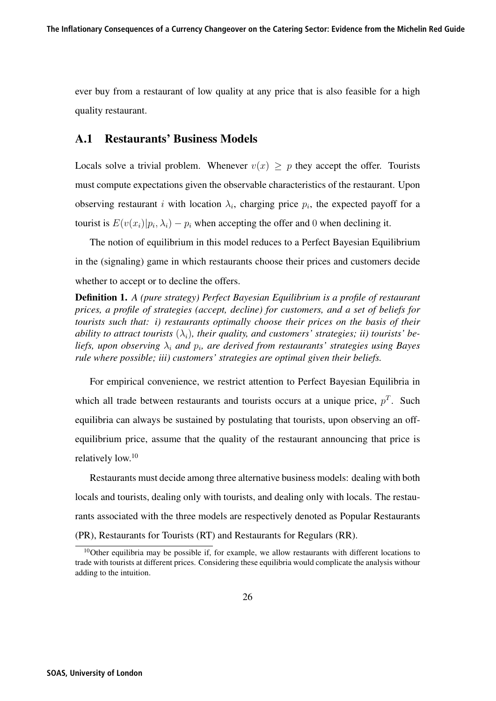ever buy from a restaurant of low quality at any price that is also feasible for a high quality restaurant.

#### A.1 Restaurants' Business Models

Locals solve a trivial problem. Whenever  $v(x) \geq p$  they accept the offer. Tourists must compute expectations given the observable characteristics of the restaurant. Upon observing restaurant i with location  $\lambda_i$ , charging price  $p_i$ , the expected payoff for a tourist is  $E(v(x_i)|p_i, \lambda_i) - p_i$  when accepting the offer and 0 when declining it.

The notion of equilibrium in this model reduces to a Perfect Bayesian Equilibrium in the (signaling) game in which restaurants choose their prices and customers decide whether to accept or to decline the offers.

Definition 1. *A (pure strategy) Perfect Bayesian Equilibrium is a profile of restaurant prices, a profile of strategies (accept, decline) for customers, and a set of beliefs for tourists such that: i) restaurants optimally choose their prices on the basis of their ability to attract tourists*  $(\lambda_i)$ *, their quality, and customers' strategies; ii) tourists' beliefs, upon observing*  $\lambda_i$  *and*  $p_i$ *, are derived from restaurants' strategies using Bayes rule where possible; iii) customers' strategies are optimal given their beliefs.*

For empirical convenience, we restrict attention to Perfect Bayesian Equilibria in which all trade between restaurants and tourists occurs at a unique price,  $p<sup>T</sup>$ . Such equilibria can always be sustained by postulating that tourists, upon observing an offequilibrium price, assume that the quality of the restaurant announcing that price is relatively low.<sup>10</sup>

Restaurants must decide among three alternative business models: dealing with both locals and tourists, dealing only with tourists, and dealing only with locals. The restaurants associated with the three models are respectively denoted as Popular Restaurants (PR), Restaurants for Tourists (RT) and Restaurants for Regulars (RR).

 $10$ Other equilibria may be possible if, for example, we allow restaurants with different locations to trade with tourists at different prices. Considering these equilibria would complicate the analysis withour adding to the intuition.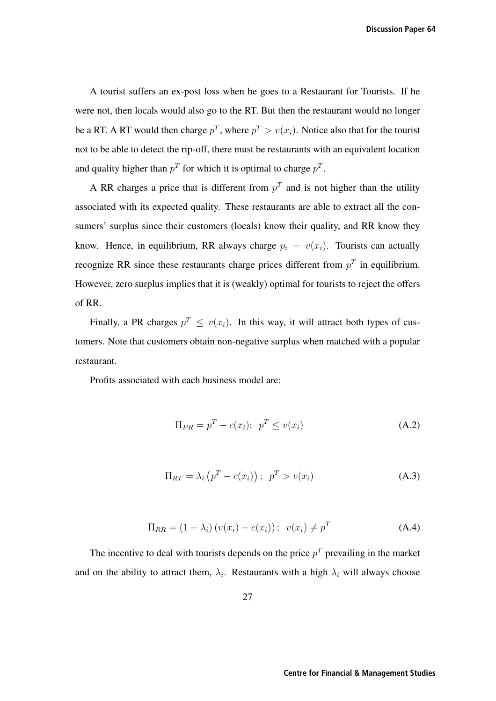A tourist suffers an ex-post loss when he goes to a Restaurant for Tourists. If he were not, then locals would also go to the RT. But then the restaurant would no longer be a RT. A RT would then charge  $p^T$ , where  $p^T > v(x_i)$ . Notice also that for the tourist not to be able to detect the rip-off, there must be restaurants with an equivalent location and quality higher than  $p<sup>T</sup>$  for which it is optimal to charge  $p<sup>T</sup>$ .

A RR charges a price that is different from  $p<sup>T</sup>$  and is not higher than the utility associated with its expected quality. These restaurants are able to extract all the consumers' surplus since their customers (locals) know their quality, and RR know they know. Hence, in equilibrium, RR always charge  $p_i = v(x_i)$ . Tourists can actually recognize RR since these restaurants charge prices different from  $p<sup>T</sup>$  in equilibrium. However, zero surplus implies that it is (weakly) optimal for tourists to reject the offers of RR.

Finally, a PR charges  $p^T \le v(x_i)$ . In this way, it will attract both types of customers. Note that customers obtain non-negative surplus when matched with a popular restaurant.

Profits associated with each business model are:

$$
\Pi_{PR} = p^T - c(x_i); \quad p^T \le v(x_i) \tag{A.2}
$$

$$
\Pi_{RT} = \lambda_i \left( p^T - c(x_i) \right); \ \ p^T > v(x_i) \tag{A.3}
$$

$$
\Pi_{RR} = (1 - \lambda_i) \left( v(x_i) - c(x_i) \right); \ \ v(x_i) \neq p^T \tag{A.4}
$$

The incentive to deal with tourists depends on the price  $p<sup>T</sup>$  prevailing in the market and on the ability to attract them,  $\lambda_i$ . Restaurants with a high  $\lambda_i$  will always choose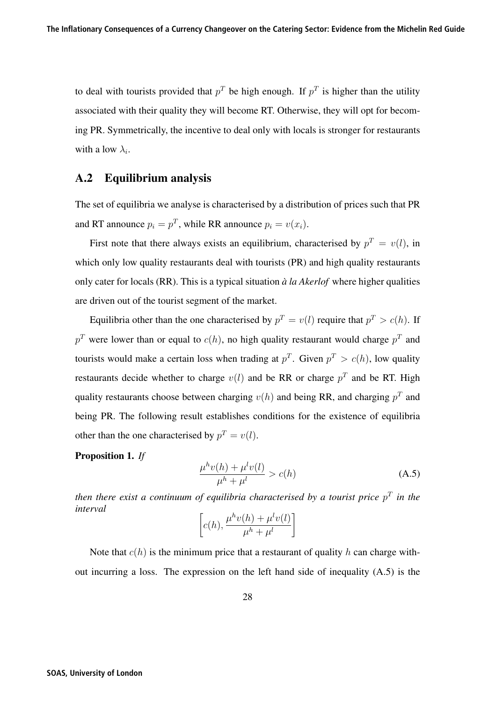to deal with tourists provided that  $p<sup>T</sup>$  be high enough. If  $p<sup>T</sup>$  is higher than the utility associated with their quality they will become RT. Otherwise, they will opt for becoming PR. Symmetrically, the incentive to deal only with locals is stronger for restaurants with a low  $\lambda_i$ .

#### A.2 Equilibrium analysis

The set of equilibria we analyse is characterised by a distribution of prices such that PR and RT announce  $p_i = p^T$ , while RR announce  $p_i = v(x_i)$ .

First note that there always exists an equilibrium, characterised by  $p^T = v(l)$ , in which only low quality restaurants deal with tourists (PR) and high quality restaurants only cater for locals (RR). This is a typical situation *a la Akerlof `* where higher qualities are driven out of the tourist segment of the market.

Equilibria other than the one characterised by  $p^T = v(l)$  require that  $p^T > c(h)$ . If  $p<sup>T</sup>$  were lower than or equal to  $c(h)$ , no high quality restaurant would charge  $p<sup>T</sup>$  and tourists would make a certain loss when trading at  $p^T$ . Given  $p^T > c(h)$ , low quality restaurants decide whether to charge  $v(l)$  and be RR or charge  $p<sup>T</sup>$  and be RT. High quality restaurants choose between charging  $v(h)$  and being RR, and charging  $p<sup>T</sup>$  and being PR. The following result establishes conditions for the existence of equilibria other than the one characterised by  $p^T = v(l)$ .

Proposition 1. *If*

$$
\frac{\mu^h v(h) + \mu^l v(l)}{\mu^h + \mu^l} > c(h) \tag{A.5}
$$

*then there exist a continuum of equilibria characterised by a tourist price*  $p<sup>T</sup>$  *in the interval*

$$
\[c(h), \frac{\mu^h v(h) + \mu^l v(l)}{\mu^h + \mu^l}\]
$$

Note that  $c(h)$  is the minimum price that a restaurant of quality h can charge without incurring a loss. The expression on the left hand side of inequality (A.5) is the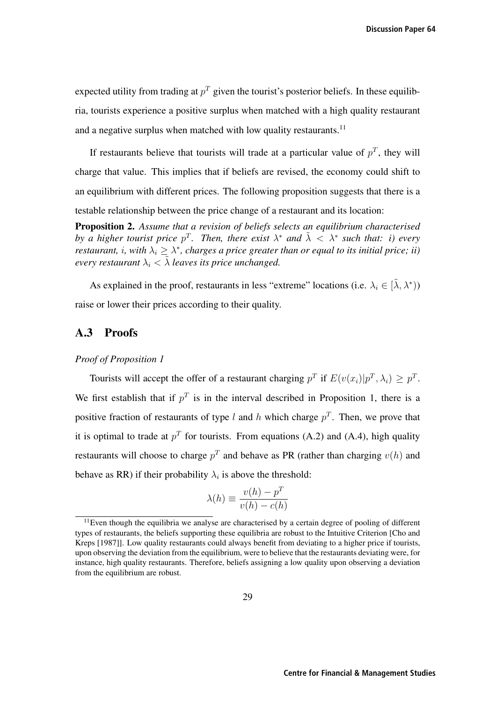expected utility from trading at  $p<sup>T</sup>$  given the tourist's posterior beliefs. In these equilibria, tourists experience a positive surplus when matched with a high quality restaurant and a negative surplus when matched with low quality restaurants.<sup>11</sup>

If restaurants believe that tourists will trade at a particular value of  $p<sup>T</sup>$ , they will charge that value. This implies that if beliefs are revised, the economy could shift to an equilibrium with different prices. The following proposition suggests that there is a testable relationship between the price change of a restaurant and its location:

Proposition 2. *Assume that a revision of beliefs selects an equilibrium characterised by a higher tourist price*  $p^T$ . Then, there exist  $\lambda^*$  and  $\tilde{\lambda} < \lambda^*$  such that: i) every *restaurant, i, with*  $\lambda_i > \lambda^*$ , *charges a price greater than or equal to its initial price; ii) every restaurant*  $\lambda_i < \tilde{\lambda}$  *leaves its price unchanged.* 

As explained in the proof, restaurants in less "extreme" locations (i.e.  $\lambda_i \in [\tilde{\lambda}, \lambda^*)$ ) raise or lower their prices according to their quality.

#### A.3 Proofs

#### *Proof of Proposition 1*

Tourists will accept the offer of a restaurant charging  $p^T$  if  $E(v(x_i)|p^T, \lambda_i) > p^T$ . We first establish that if  $p<sup>T</sup>$  is in the interval described in Proposition 1, there is a positive fraction of restaurants of type l and h which charge  $p<sup>T</sup>$ . Then, we prove that it is optimal to trade at  $p<sup>T</sup>$  for tourists. From equations (A.2) and (A.4), high quality restaurants will choose to charge  $p<sup>T</sup>$  and behave as PR (rather than charging  $v(h)$ ) and behave as RR) if their probability  $\lambda_i$  is above the threshold:

$$
\lambda(h) \equiv \frac{v(h) - p^T}{v(h) - c(h)}
$$

 $11$ Even though the equilibria we analyse are characterised by a certain degree of pooling of different types of restaurants, the beliefs supporting these equilibria are robust to the Intuitive Criterion [Cho and Kreps [1987]]. Low quality restaurants could always benefit from deviating to a higher price if tourists, upon observing the deviation from the equilibrium, were to believe that the restaurants deviating were, for instance, high quality restaurants. Therefore, beliefs assigning a low quality upon observing a deviation from the equilibrium are robust.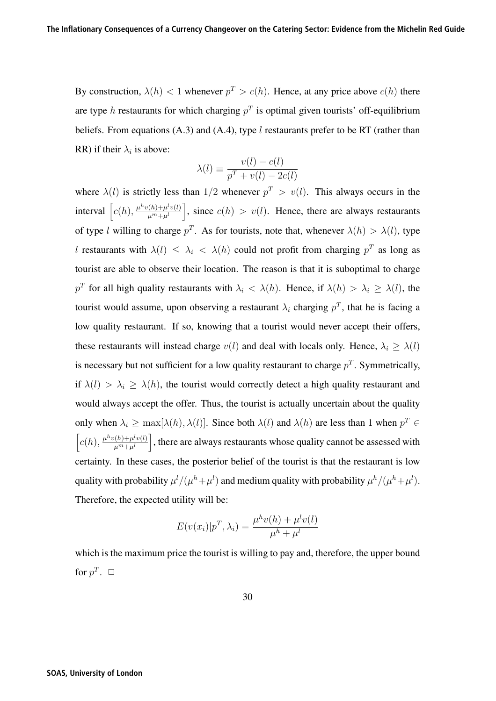By construction,  $\lambda(h) < 1$  whenever  $p^T > c(h)$ . Hence, at any price above  $c(h)$  there are type h restaurants for which charging  $p<sup>T</sup>$  is optimal given tourists' off-equilibrium beliefs. From equations  $(A.3)$  and  $(A.4)$ , type l restaurants prefer to be RT (rather than RR) if their  $\lambda_i$  is above:

$$
\lambda(l) \equiv \frac{v(l) - c(l)}{p^T + v(l) - 2c(l)}
$$

where  $\lambda(l)$  is strictly less than 1/2 whenever  $p^T > v(l)$ . This always occurs in the interval  $\left[c(h), \frac{\mu^h v(h) + \mu^l v(l)}{\mu^m + \mu^l}\right]$ , since  $c(h) > v(l)$ . Hence, there are always restaurants of type l willing to charge  $p^T$ . As for tourists, note that, whenever  $\lambda(h) > \lambda(l)$ , type l restaurants with  $\lambda(l) \leq \lambda_i < \lambda(h)$  could not profit from charging  $p^T$  as long as tourist are able to observe their location. The reason is that it is suboptimal to charge  $p<sup>T</sup>$  for all high quality restaurants with  $\lambda_i < \lambda(h)$ . Hence, if  $\lambda(h) > \lambda_i \geq \lambda(l)$ , the tourist would assume, upon observing a restaurant  $\lambda_i$  charging  $p^T$ , that he is facing a low quality restaurant. If so, knowing that a tourist would never accept their offers, these restaurants will instead charge  $v(l)$  and deal with locals only. Hence,  $\lambda_i \geq \lambda(l)$ is necessary but not sufficient for a low quality restaurant to charge  $p<sup>T</sup>$ . Symmetrically, if  $\lambda(l) > \lambda_i \geq \lambda(h)$ , the tourist would correctly detect a high quality restaurant and would always accept the offer. Thus, the tourist is actually uncertain about the quality only when  $\lambda_i \ge \max[\lambda(h), \lambda(l)]$ . Since both  $\lambda(l)$  and  $\lambda(h)$  are less than 1 when  $p^T \in$  $\left[c(h), \frac{\mu^h v(h) + \mu^l v(l)}{\mu^m + \mu^l}\right]$ , there are always restaurants whose quality cannot be assessed with certainty. In these cases, the posterior belief of the tourist is that the restaurant is low quality with probability  $\mu^l/(\mu^h+\mu^l)$  and medium quality with probability  $\mu^h/(\mu^h+\mu^l)$ . Therefore, the expected utility will be:

$$
E(v(x_i)|p^T, \lambda_i) = \frac{\mu^h v(h) + \mu^l v(l)}{\mu^h + \mu^l}
$$

which is the maximum price the tourist is willing to pay and, therefore, the upper bound for  $p^T$ .  $\Box$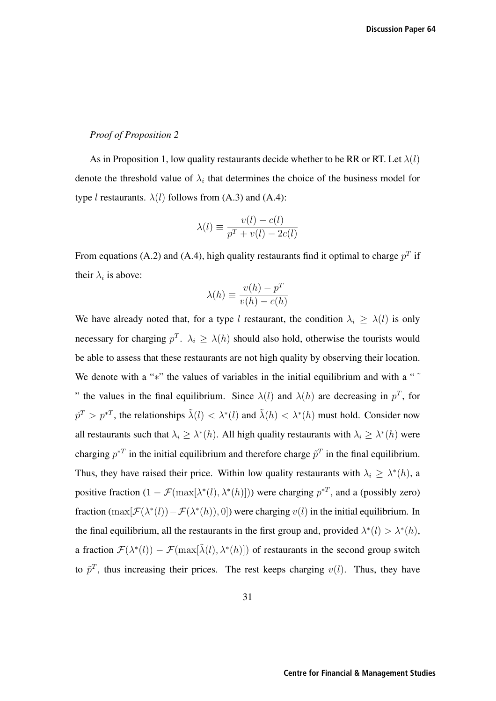#### *Proof of Proposition 2*

As in Proposition 1, low quality restaurants decide whether to be RR or RT. Let  $\lambda(l)$ denote the threshold value of  $\lambda_i$  that determines the choice of the business model for type *l* restaurants.  $\lambda$ (*l*) follows from (A.3) and (A.4):

$$
\lambda(l) \equiv \frac{v(l) - c(l)}{p^T + v(l) - 2c(l)}
$$

From equations (A.2) and (A.4), high quality restaurants find it optimal to charge  $p<sup>T</sup>$  if their  $\lambda_i$  is above:

$$
\lambda(h) \equiv \frac{v(h) - p^T}{v(h) - c(h)}
$$

We have already noted that, for a type l restaurant, the condition  $\lambda_i \geq \lambda(l)$  is only necessary for charging  $p^T$ .  $\lambda_i \geq \lambda(h)$  should also hold, otherwise the tourists would be able to assess that these restaurants are not high quality by observing their location. We denote with a "<sup>∗</sup>" the values of variables in the initial equilibrium and with a " " the values in the final equilibrium. Since  $\lambda(l)$  and  $\lambda(h)$  are decreasing in  $p<sup>T</sup>$ , for  $\tilde{p}^T > p^{*T}$ , the relationships  $\tilde{\lambda}(l) < \lambda^*(l)$  and  $\tilde{\lambda}(h) < \lambda^*(h)$  must hold. Consider now all restaurants such that  $\lambda_i \geq \lambda^*(h)$ . All high quality restaurants with  $\lambda_i \geq \lambda^*(h)$  were charging  $p^{*T}$  in the initial equilibrium and therefore charge  $\tilde{p}^T$  in the final equilibrium. Thus, they have raised their price. Within low quality restaurants with  $\lambda_i \geq \lambda^*(h)$ , a positive fraction  $(1 - \mathcal{F}(\max[\lambda^*(l), \lambda^*(h)]))$  were charging  $p^{*T}$ , and a (possibly zero) fraction  $(\max[\mathcal{F}(\lambda^*(l))-\mathcal{F}(\lambda^*(h)), 0])$  were charging  $v(l)$  in the initial equilibrium. In the final equilibrium, all the restaurants in the first group and, provided  $\lambda^*(l) > \lambda^*(h)$ , a fraction  $\mathcal{F}(\lambda^*(l)) - \mathcal{F}(\max[\tilde{\lambda}(l), \lambda^*(h)])$  of restaurants in the second group switch to  $\tilde{p}^T$ , thus increasing their prices. The rest keeps charging  $v(l)$ . Thus, they have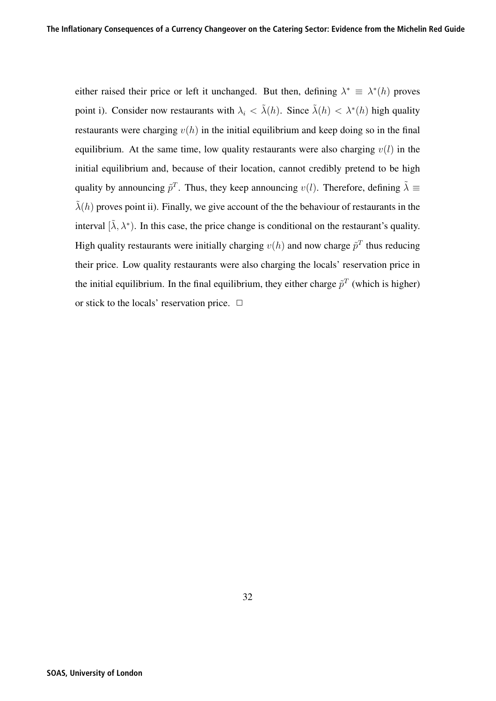either raised their price or left it unchanged. But then, defining  $\lambda^* \equiv \lambda^*(h)$  proves point i). Consider now restaurants with  $\lambda_i < \tilde{\lambda}(h)$ . Since  $\tilde{\lambda}(h) < \lambda^*(h)$  high quality restaurants were charging  $v(h)$  in the initial equilibrium and keep doing so in the final equilibrium. At the same time, low quality restaurants were also charging  $v(l)$  in the initial equilibrium and, because of their location, cannot credibly pretend to be high quality by announcing  $\tilde{p}^T$ . Thus, they keep announcing  $v(l)$ . Therefore, defining  $\tilde{\lambda} \equiv$  $\tilde{\lambda}(h)$  proves point ii). Finally, we give account of the the behaviour of restaurants in the interval  $[\tilde{\lambda}, \lambda^*]$ . In this case, the price change is conditional on the restaurant's quality. High quality restaurants were initially charging  $v(h)$  and now charge  $\tilde{p}^T$  thus reducing their price. Low quality restaurants were also charging the locals' reservation price in the initial equilibrium. In the final equilibrium, they either charge  $\tilde{p}^T$  (which is higher) or stick to the locals' reservation price.  $\Box$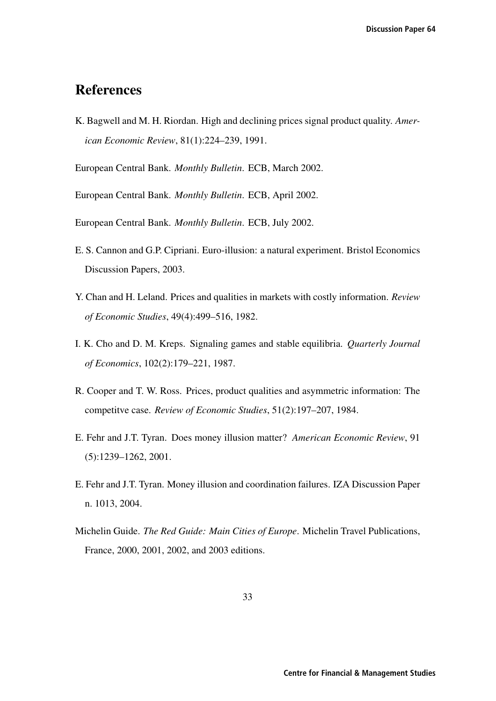## References

K. Bagwell and M. H. Riordan. High and declining prices signal product quality. *American Economic Review*, 81(1):224–239, 1991.

European Central Bank. *Monthly Bulletin*. ECB, March 2002.

European Central Bank. *Monthly Bulletin*. ECB, April 2002.

European Central Bank. *Monthly Bulletin*. ECB, July 2002.

- E. S. Cannon and G.P. Cipriani. Euro-illusion: a natural experiment. Bristol Economics Discussion Papers, 2003.
- Y. Chan and H. Leland. Prices and qualities in markets with costly information. *Review of Economic Studies*, 49(4):499–516, 1982.
- I. K. Cho and D. M. Kreps. Signaling games and stable equilibria. *Quarterly Journal of Economics*, 102(2):179–221, 1987.
- R. Cooper and T. W. Ross. Prices, product qualities and asymmetric information: The competitve case. *Review of Economic Studies*, 51(2):197–207, 1984.
- E. Fehr and J.T. Tyran. Does money illusion matter? *American Economic Review*, 91 (5):1239–1262, 2001.
- E. Fehr and J.T. Tyran. Money illusion and coordination failures. IZA Discussion Paper n. 1013, 2004.
- Michelin Guide. *The Red Guide: Main Cities of Europe*. Michelin Travel Publications, France, 2000, 2001, 2002, and 2003 editions.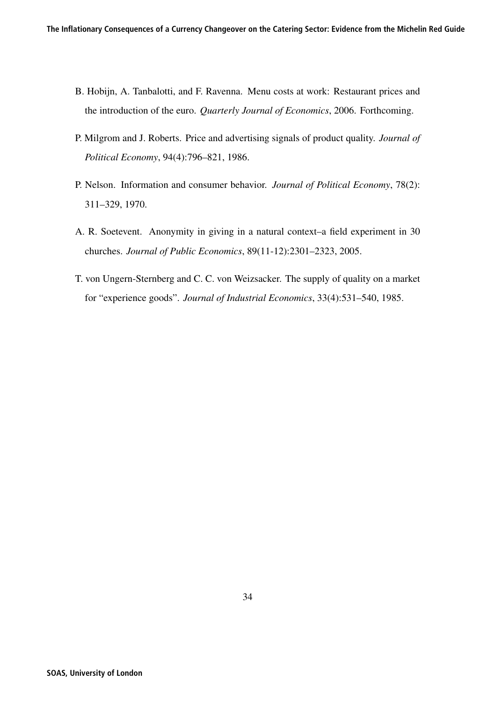- B. Hobijn, A. Tanbalotti, and F. Ravenna. Menu costs at work: Restaurant prices and the introduction of the euro. *Quarterly Journal of Economics*, 2006. Forthcoming.
- P. Milgrom and J. Roberts. Price and advertising signals of product quality. *Journal of Political Economy*, 94(4):796–821, 1986.
- P. Nelson. Information and consumer behavior. *Journal of Political Economy*, 78(2): 311–329, 1970.
- A. R. Soetevent. Anonymity in giving in a natural context–a field experiment in 30 churches. *Journal of Public Economics*, 89(11-12):2301–2323, 2005.
- T. von Ungern-Sternberg and C. C. von Weizsacker. The supply of quality on a market for "experience goods". *Journal of Industrial Economics*, 33(4):531–540, 1985.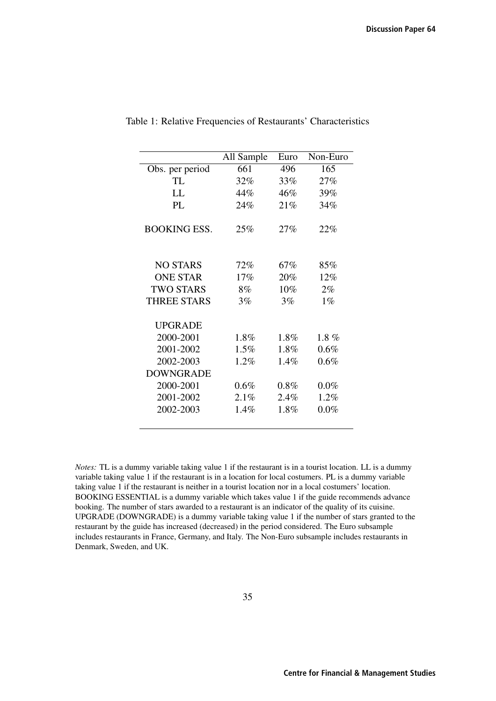|                     | All Sample | Euro    | Non-Euro |
|---------------------|------------|---------|----------|
| Obs. per period     | 661        | 496     | 165      |
| TL.                 | 32%        | 33%     | 27%      |
| LL.                 | 44%        | 46%     | 39%      |
| PI.                 | 24%        | 21%     | 34%      |
| <b>BOOKING ESS.</b> | 25%        | 27%     | 22%      |
| NO STARS            | 72%        | 67%     | 85%      |
| <b>ONE STAR</b>     | 17%        | 20%     | 12%      |
| <b>TWO STARS</b>    | 8%         | 10%     | $2\%$    |
| <b>THREE STARS</b>  | 3%         | 3%      | $1\%$    |
| <b>UPGRADE</b>      |            |         |          |
| 2000-2001           | $1.8\%$    | $1.8\%$ | $1.8 \%$ |
| 2001-2002           | $1.5\%$    | $1.8\%$ | 0.6%     |
| 2002-2003           | 1.2%       | $1.4\%$ | 0.6%     |
| <b>DOWNGRADE</b>    |            |         |          |
| 2000-2001           | 0.6%       | $0.8\%$ | $0.0\%$  |
| 2001-2002           | 2.1%       | 2.4%    | $1.2\%$  |
| 2002-2003           | 1.4%       | 1.8%    | $0.0\%$  |

Table 1: Relative Frequencies of Restaurants' Characteristics

*Notes:* TL is a dummy variable taking value 1 if the restaurant is in a tourist location. LL is a dummy variable taking value 1 if the restaurant is in a location for local costumers. PL is a dummy variable taking value 1 if the restaurant is neither in a tourist location nor in a local costumers' location. BOOKING ESSENTIAL is a dummy variable which takes value 1 if the guide recommends advance booking. The number of stars awarded to a restaurant is an indicator of the quality of its cuisine. UPGRADE (DOWNGRADE) is a dummy variable taking value 1 if the number of stars granted to the restaurant by the guide has increased (decreased) in the period considered. The Euro subsample includes restaurants in France, Germany, and Italy. The Non-Euro subsample includes restaurants in Denmark, Sweden, and UK.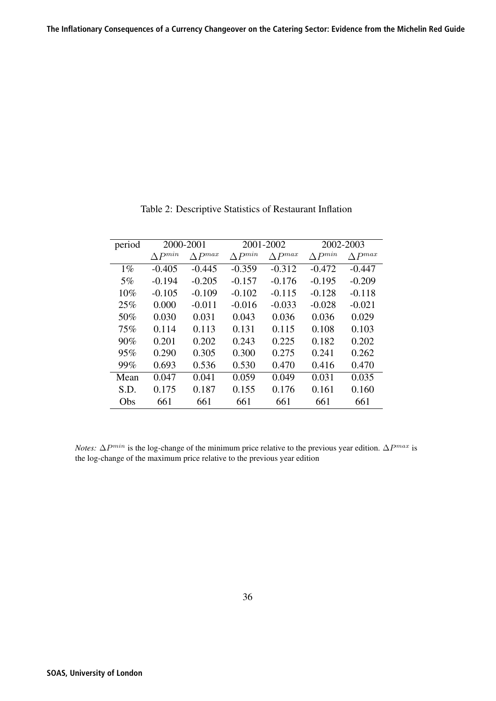| period |                  | 2000-2001<br>2001-2002 |                  |                  | 2002-2003        |                  |
|--------|------------------|------------------------|------------------|------------------|------------------|------------------|
|        | $\Delta P^{min}$ | $\triangle P^{max}$    | $\Delta P^{min}$ | $\Delta P^{max}$ | $\Delta P^{min}$ | $\wedge P^{max}$ |
| $1\%$  | $-0.405$         | $-0.445$               | $-0.359$         | $-0.312$         | $-0.472$         | $-0.447$         |
| 5%     | $-0.194$         | $-0.205$               | $-0.157$         | $-0.176$         | $-0.195$         | $-0.209$         |
| 10%    | $-0.105$         | $-0.109$               | $-0.102$         | $-0.115$         | $-0.128$         | $-0.118$         |
| 25%    | 0.000            | $-0.011$               | $-0.016$         | $-0.033$         | $-0.028$         | $-0.021$         |
| 50%    | 0.030            | 0.031                  | 0.043            | 0.036            | 0.036            | 0.029            |
| 75%    | 0.114            | 0.113                  | 0.131            | 0.115            | 0.108            | 0.103            |
| 90%    | 0.201            | 0.202                  | 0.243            | 0.225            | 0.182            | 0.202            |
| 95%    | 0.290            | 0.305                  | 0.300            | 0.275            | 0.241            | 0.262            |
| 99%    | 0.693            | 0.536                  | 0.530            | 0.470            | 0.416            | 0.470            |
| Mean   | 0.047            | 0.041                  | 0.059            | 0.049            | 0.031            | 0.035            |
| S.D.   | 0.175            | 0.187                  | 0.155            | 0.176            | 0.161            | 0.160            |
| Obs    | 661              | 661                    | 661              | 661              | 661              | 661              |

Table 2: Descriptive Statistics of Restaurant Inflation

*Notes:*  $\Delta P^{min}$  is the log-change of the minimum price relative to the previous year edition.  $\Delta P^{max}$  is the log-change of the maximum price relative to the previous year edition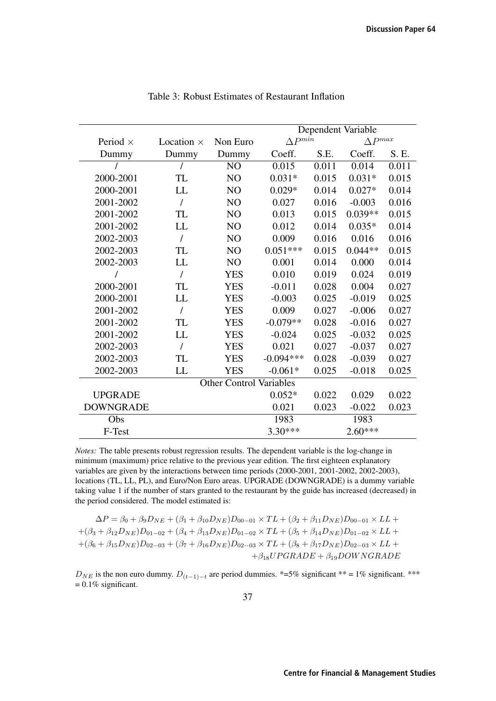|                  |                   |                                | Dependent Variable |       |                     |       |
|------------------|-------------------|--------------------------------|--------------------|-------|---------------------|-------|
| Period $\times$  | Location $\times$ | Non Euro                       | $\Delta P^{min}$   |       | $\triangle P^{max}$ |       |
| Dummy            | Dummy             | Dummy                          | Coeff.             | S.E.  | Coeff.              | S. E. |
|                  |                   | NO                             | 0.015              | 0.011 | 0.014               | 0.011 |
| 2000-2001        | TL                | N <sub>O</sub>                 | $0.031*$           | 0.015 | $0.031*$            | 0.015 |
| 2000-2001        | LL                | NO                             | $0.029*$           | 0.014 | $0.027*$            | 0.014 |
| 2001-2002        | I                 | NO                             | 0.027              | 0.016 | $-0.003$            | 0.016 |
| 2001-2002        | TL                | NO                             | 0.013              | 0.015 | $0.039**$           | 0.015 |
| 2001-2002        | LL                | NO                             | 0.012              | 0.014 | $0.035*$            | 0.014 |
| 2002-2003        | $\prime$          | NO                             | 0.009              | 0.016 | 0.016               | 0.016 |
| 2002-2003        | TL                | NO                             | $0.051***$         | 0.015 | $0.044**$           | 0.015 |
| 2002-2003        | LL                | NO                             | 0.001              | 0.014 | 0.000               | 0.014 |
| 7                | $\prime$          | <b>YES</b>                     | 0.010              | 0.019 | 0.024               | 0.019 |
| 2000-2001        | TL                | <b>YES</b>                     | $-0.011$           | 0.028 | 0.004               | 0.027 |
| 2000-2001        | LL                | <b>YES</b>                     | $-0.003$           | 0.025 | $-0.019$            | 0.025 |
| 2001-2002        | $\prime$          | <b>YES</b>                     | 0.009              | 0.027 | $-0.006$            | 0.027 |
| 2001-2002        | TL                | <b>YES</b>                     | $-0.079**$         | 0.028 | $-0.016$            | 0.027 |
| 2001-2002        | LL                | <b>YES</b>                     | $-0.024$           | 0.025 | $-0.032$            | 0.025 |
| 2002-2003        | $\overline{1}$    | <b>YES</b>                     | 0.021              | 0.027 | $-0.037$            | 0.027 |
| 2002-2003        | TL                | <b>YES</b>                     | $-0.094***$        | 0.028 | $-0.039$            | 0.027 |
| 2002-2003        | LL                | <b>YES</b>                     | $-0.061*$          | 0.025 | $-0.018$            | 0.025 |
|                  |                   | <b>Other Control Variables</b> |                    |       |                     |       |
| <b>UPGRADE</b>   |                   |                                | $0.052*$           | 0.022 | 0.029               | 0.022 |
| <b>DOWNGRADE</b> |                   |                                | 0.021              | 0.023 | $-0.022$            | 0.023 |
| Obs              |                   |                                | 1983               |       | 1983                |       |
| F-Test           |                   |                                | $3.30***$          |       | $2.60***$           |       |

Table 3: Robust Estimates of Restaurant Inflation

*Notes:* The table presents robust regression results. The dependent variable is the log-change in minimum (maximum) price relative to the previous year edition. The first eighteen explanatory variables are given by the interactions between time periods (2000-2001, 2001-2002, 2002-2003), locations (TL, LL, PL), and Euro/Non Euro areas. UPGRADE (DOWNGRADE) is a dummy variable taking value 1 if the number of stars granted to the restaurant by the guide has increased (decreased) in the period considered. The model estimated is:

$$
\Delta P = \beta_0 + \beta_9 D_{NE} + (\beta_1 + \beta_{10} D_{NE}) D_{00-01} \times TL + (\beta_2 + \beta_{11} D_{NE}) D_{00-01} \times LL + + (\beta_3 + \beta_{12} D_{NE}) D_{01-02} + (\beta_4 + \beta_{13} D_{NE}) D_{01-02} \times TL + (\beta_5 + \beta_{14} D_{NE}) D_{01-02} \times LL + + (\beta_6 + \beta_{15} D_{NE}) D_{02-03} + (\beta_7 + \beta_{16} D_{NE}) D_{02-03} \times TL + (\beta_8 + \beta_{17} D_{NE}) D_{02-03} \times LL + + \beta_{18} U PGRADE + \beta_{19} DOWNGRADE
$$

 $D_{NE}$  is the non euro dummy.  $D_{(t-1)-t}$  are period dummies. \*=5% significant \*\* = 1% significant. \*\*\*  $= 0.1\%$  significant.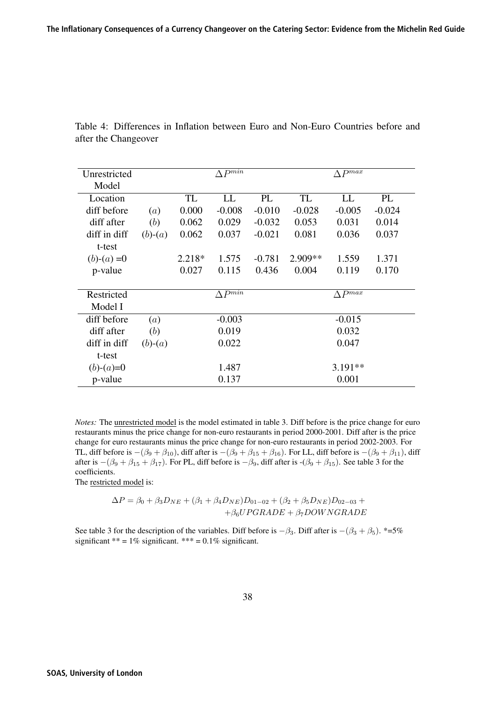| Unrestricted |                   |        | $\Delta P^{\overline{min}}$ |          |           | $\Delta P^{max}$    |          |
|--------------|-------------------|--------|-----------------------------|----------|-----------|---------------------|----------|
| Model        |                   |        |                             |          |           |                     |          |
| Location     |                   | TL     | LL                          | PL       | TL        | LL                  | PL       |
| diff before  | $\left( a\right)$ | 0.000  | $-0.008$                    | $-0.010$ | $-0.028$  | $-0.005$            | $-0.024$ |
| diff after   | (b)               | 0.062  | 0.029                       | $-0.032$ | 0.053     | 0.031               | 0.014    |
| diff in diff | $(b)-(a)$         | 0.062  | 0.037                       | $-0.021$ | 0.081     | 0.036               | 0.037    |
| t-test       |                   |        |                             |          |           |                     |          |
| $(b)-(a)=0$  |                   | 2.218* | 1.575                       | $-0.781$ | $2.909**$ | 1.559               | 1.371    |
| p-value      |                   | 0.027  | 0.115                       | 0.436    | 0.004     | 0.119               | 0.170    |
|              |                   |        |                             |          |           |                     |          |
| Restricted   |                   |        | $\Lambda P^{min}$           |          |           | $\triangle P^{max}$ |          |
| Model I      |                   |        |                             |          |           |                     |          |
| diff before  | (a)               |        | $-0.003$                    |          |           | $-0.015$            |          |
| diff after   | (b)               |        | 0.019                       |          |           | 0.032               |          |
| diff in diff | $(b)-(a)$         |        | 0.022                       |          |           | 0.047               |          |
| t-test       |                   |        |                             |          |           |                     |          |
| $(b)-(a)=0$  |                   |        | 1.487                       |          |           | $3.191**$           |          |
| p-value      |                   |        | 0.137                       |          |           | 0.001               |          |

Table 4: Differences in Inflation between Euro and Non-Euro Countries before and after the Changeover

*Notes:* The unrestricted model is the model estimated in table 3. Diff before is the price change for euro restaurants minus the price change for non-euro restaurants in period 2000-2001. Diff after is the price change for euro restaurants minus the price change for non-euro restaurants in period 2002-2003. For TL, diff before is  $-(\beta_9 + \beta_{10})$ , diff after is  $-(\beta_9 + \beta_{15} + \beta_{16})$ . For LL, diff before is  $-(\beta_9 + \beta_{11})$ , diff after is  $-(\beta_9 + \beta_{15} + \beta_{17})$ . For PL, diff before is  $-\beta_9$ , diff after is  $-(\beta_9 + \beta_{15})$ . See table 3 for the coefficients.

The restricted model is:

$$
\Delta P = \beta_0 + \beta_3 D_{NE} + (\beta_1 + \beta_4 D_{NE})D_{01-02} + (\beta_2 + \beta_5 D_{NE})D_{02-03} ++\beta_6 UPGRADE + \beta_7 DOWNGRADE
$$

See table 3 for the description of the variables. Diff before is  $-\beta_3$ . Diff after is  $-(\beta_3 + \beta_5)$ . \*=5% significant \*\* =  $1\%$  significant. \*\*\* =  $0.1\%$  significant.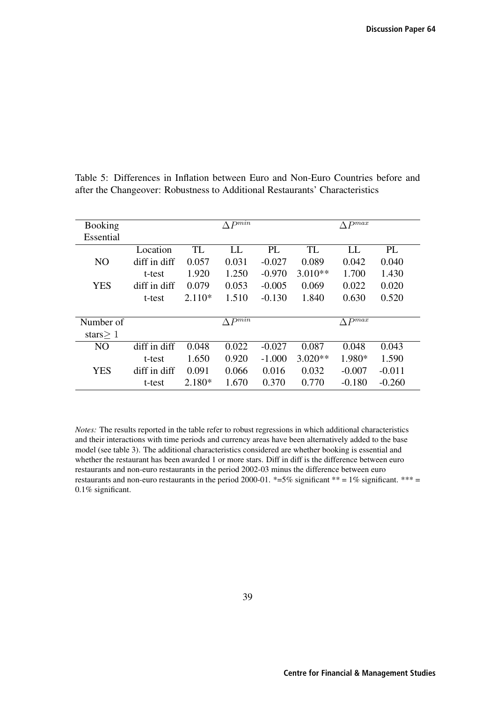| <b>Booking</b> |              |           | $\wedge P^{min}$ |          |           | $\triangle P^{max}$ |          |
|----------------|--------------|-----------|------------------|----------|-----------|---------------------|----------|
| Essential      |              |           |                  |          |           |                     |          |
|                | Location     | <b>TL</b> | LL               | PL       | TL        | LL                  | PL       |
| N <sub>O</sub> | diff in diff | 0.057     | 0.031            | $-0.027$ | 0.089     | 0.042               | 0.040    |
|                | t-test       | 1.920     | 1.250            | $-0.970$ | $3.010**$ | 1.700               | 1.430    |
| <b>YES</b>     | diff in diff | 0.079     | 0.053            | $-0.005$ | 0.069     | 0.022               | 0.020    |
|                | t-test       | $2.110*$  | 1.510            | $-0.130$ | 1.840     | 0.630               | 0.520    |
|                |              |           |                  |          |           |                     |          |
| Number of      |              |           | $\wedge P^{min}$ |          |           | $\wedge P^{max}$    |          |
| stars $> 1$    |              |           |                  |          |           |                     |          |
| N <sub>O</sub> | diff in diff | 0.048     | 0.022            | $-0.027$ | 0.087     | 0.048               | 0.043    |
|                | t-test       | 1.650     | 0.920            | $-1.000$ | $3.020**$ | 1.980*              | 1.590    |
| <b>YES</b>     | diff in diff | 0.091     | 0.066            | 0.016    | 0.032     | $-0.007$            | $-0.011$ |
|                | t-test       | $2.180*$  | 1.670            | 0.370    | 0.770     | $-0.180$            | $-0.260$ |

Table 5: Differences in Inflation between Euro and Non-Euro Countries before and after the Changeover: Robustness to Additional Restaurants' Characteristics

*Notes:* The results reported in the table refer to robust regressions in which additional characteristics and their interactions with time periods and currency areas have been alternatively added to the base model (see table 3). The additional characteristics considered are whether booking is essential and whether the restaurant has been awarded 1 or more stars. Diff in diff is the difference between euro restaurants and non-euro restaurants in the period 2002-03 minus the difference between euro restaurants and non-euro restaurants in the period 2000-01.  $*=5\%$  significant  $** = 1\%$  significant. \*\*\* = 0.1% significant.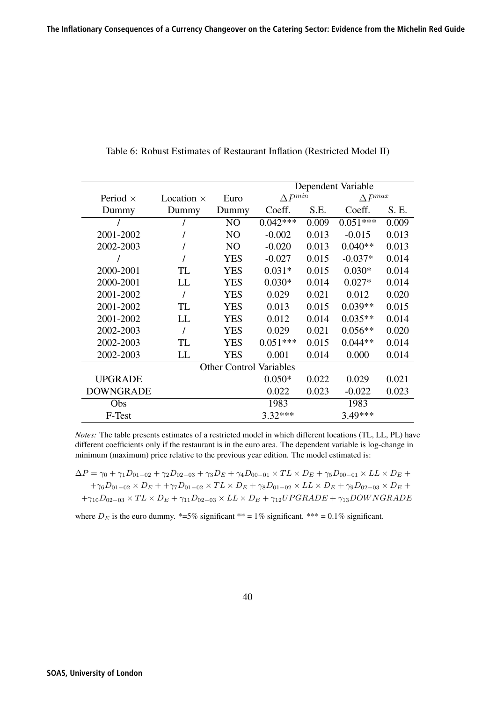|                  |                   |                | Dependent Variable             |       |                  |       |
|------------------|-------------------|----------------|--------------------------------|-------|------------------|-------|
| Period $\times$  | Location $\times$ | Euro           | $\Delta P^{min}$               |       | $\Delta P^{max}$ |       |
| Dummy            | Dummy             | Dummy          | Coeff.                         | S.E.  | Coeff.           | S. E. |
|                  |                   | N <sub>O</sub> | $0.042***$                     | 0.009 | $0.051***$       | 0.009 |
| 2001-2002        |                   | N <sub>O</sub> | $-0.002$                       | 0.013 | $-0.015$         | 0.013 |
| 2002-2003        |                   | N <sub>O</sub> | $-0.020$                       | 0.013 | $0.040**$        | 0.013 |
|                  |                   | <b>YES</b>     | $-0.027$                       | 0.015 | $-0.037*$        | 0.014 |
| 2000-2001        | TL                | <b>YES</b>     | $0.031*$                       | 0.015 | $0.030*$         | 0.014 |
| 2000-2001        | LL                | <b>YES</b>     | $0.030*$                       | 0.014 | $0.027*$         | 0.014 |
| 2001-2002        |                   | <b>YES</b>     | 0.029                          | 0.021 | 0.012            | 0.020 |
| 2001-2002        | TL                | <b>YES</b>     | 0.013                          | 0.015 | $0.039**$        | 0.015 |
| 2001-2002        | LL                | <b>YES</b>     | 0.012                          | 0.014 | $0.035**$        | 0.014 |
| 2002-2003        |                   | <b>YES</b>     | 0.029                          | 0.021 | $0.056**$        | 0.020 |
| 2002-2003        | TL                | YES            | $0.051***$                     | 0.015 | $0.044**$        | 0.014 |
| 2002-2003        | LL                | YES            | 0.001                          | 0.014 | 0.000            | 0.014 |
|                  |                   |                | <b>Other Control Variables</b> |       |                  |       |
| <b>UPGRADE</b>   |                   |                | $0.050*$                       | 0.022 | 0.029            | 0.021 |
| <b>DOWNGRADE</b> |                   |                | 0.022                          | 0.023 | $-0.022$         | 0.023 |
| Obs              |                   |                | 1983                           |       | 1983             |       |
| F-Test           |                   |                | $3.32***$                      |       | 3.49***          |       |

Table 6: Robust Estimates of Restaurant Inflation (Restricted Model II)

*Notes:* The table presents estimates of a restricted model in which different locations (TL, LL, PL) have different coefficients only if the restaurant is in the euro area. The dependent variable is log-change in minimum (maximum) price relative to the previous year edition. The model estimated is:

$$
\Delta P = \gamma_0 + \gamma_1 D_{01-02} + \gamma_2 D_{02-03} + \gamma_3 D_E + \gamma_4 D_{00-01} \times TL \times D_E + \gamma_5 D_{00-01} \times LL \times D_E + + \gamma_6 D_{01-02} \times D_E + + \gamma_7 D_{01-02} \times TL \times D_E + \gamma_8 D_{01-02} \times LL \times D_E + \gamma_9 D_{02-03} \times D_E + + \gamma_{10} D_{02-03} \times TL \times D_E + \gamma_{11} D_{02-03} \times LL \times D_E + \gamma_{12} U PGRADE + \gamma_{13} DOW NGRADE
$$

where  $D_E$  is the euro dummy. \*=5% significant \*\* = 1% significant. \*\*\* = 0.1% significant.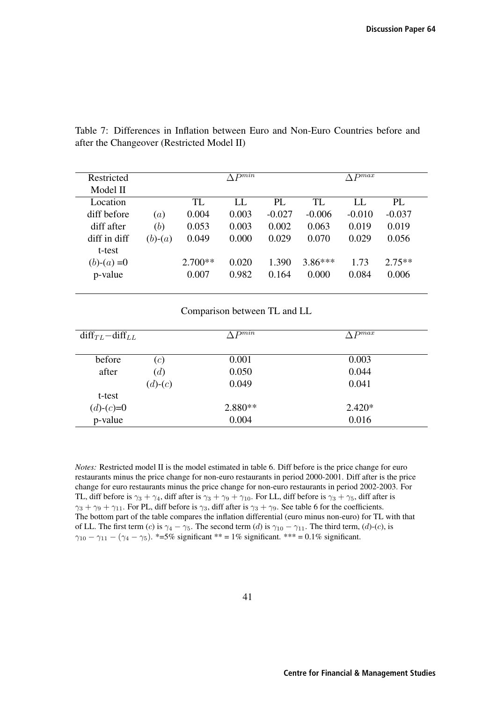|            |           | $\Lambda P^{min}$ |          |           | $\wedge$ $P^{max}$ |          |
|------------|-----------|-------------------|----------|-----------|--------------------|----------|
|            |           |                   |          |           |                    |          |
|            | TL        | LL                | PL       | TL        | LL                 | PI.      |
| <i>(a)</i> | 0.004     | 0.003             | $-0.027$ | $-0.006$  | $-0.010$           | $-0.037$ |
| (b)        | 0.053     | 0.003             | 0.002    | 0.063     | 0.019              | 0.019    |
| $(b)-(a)$  | 0.049     | 0.000             | 0.029    | 0.070     | 0.029              | 0.056    |
|            |           |                   |          |           |                    |          |
|            | $2.700**$ | 0.020             | 1.390    | $3.86***$ | 1.73               | $2.75**$ |
|            | 0.007     | 0.982             | 0.164    | 0.000     | 0.084              | 0.006    |
|            |           |                   |          |           |                    |          |

Table 7: Differences in Inflation between Euro and Non-Euro Countries before and after the Changeover (Restricted Model II)

Comparison between TL and LL

| $diff_{TL} - diff_{LL}$ |           | $\wedge pmin$ | $\wedge$ Dmax |
|-------------------------|-----------|---------------|---------------|
| before                  | (c)       | 0.001         | 0.003         |
| after                   | (d)       | 0.050         | 0.044         |
|                         | $(d)-(c)$ | 0.049         | 0.041         |
| t-test                  |           |               |               |
| $(d)-(c)=0$             |           | $2.880**$     | $2.420*$      |
| p-value                 |           | 0.004         | 0.016         |

*Notes:* Restricted model II is the model estimated in table 6. Diff before is the price change for euro restaurants minus the price change for non-euro restaurants in period 2000-2001. Diff after is the price change for euro restaurants minus the price change for non-euro restaurants in period 2002-2003. For TL, diff before is  $\gamma_3 + \gamma_4$ , diff after is  $\gamma_3 + \gamma_9 + \gamma_{10}$ . For LL, diff before is  $\gamma_3 + \gamma_5$ , diff after is  $\gamma_3 + \gamma_9 + \gamma_{11}$ . For PL, diff before is  $\gamma_3$ , diff after is  $\gamma_3 + \gamma_9$ . See table 6 for the coefficients. The bottom part of the table compares the inflation differential (euro minus non-euro) for TL with that of LL. The first term (c) is  $\gamma_4 - \gamma_5$ . The second term (d) is  $\gamma_{10} - \gamma_{11}$ . The third term, (d)-(c), is  $\gamma_{10} - \gamma_{11} - (\gamma_4 - \gamma_5)$ . \*=5% significant \*\* = 1% significant. \*\*\* = 0.1% significant.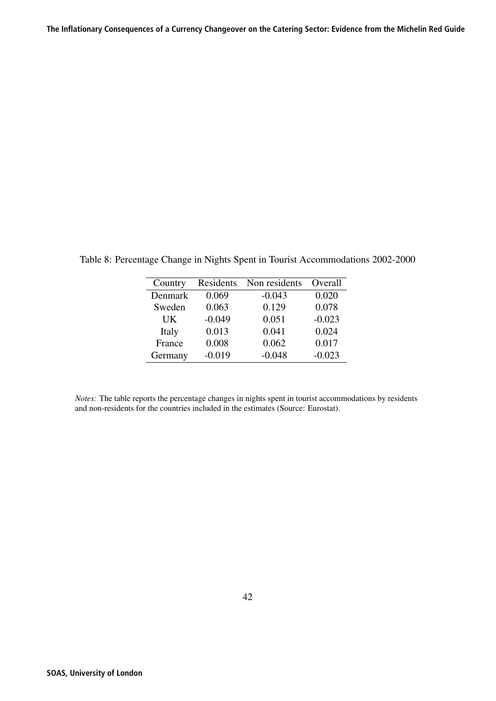| Country | Residents | Non residents | Overall  |
|---------|-----------|---------------|----------|
| Denmark | 0.069     | $-0.043$      | 0.020    |
| Sweden  | 0.063     | 0.129         | 0.078    |
| UK      | $-0.049$  | 0.051         | $-0.023$ |
| Italy   | 0.013     | 0.041         | 0.024    |
| France  | 0.008     | 0.062         | 0.017    |
| Germany | $-0.019$  | $-0.048$      | $-0.023$ |

Table 8: Percentage Change in Nights Spent in Tourist Accommodations 2002-2000

*Notes:* The table reports the percentage changes in nights spent in tourist accommodations by residents and non-residents for the countries included in the estimates (Source: Eurostat).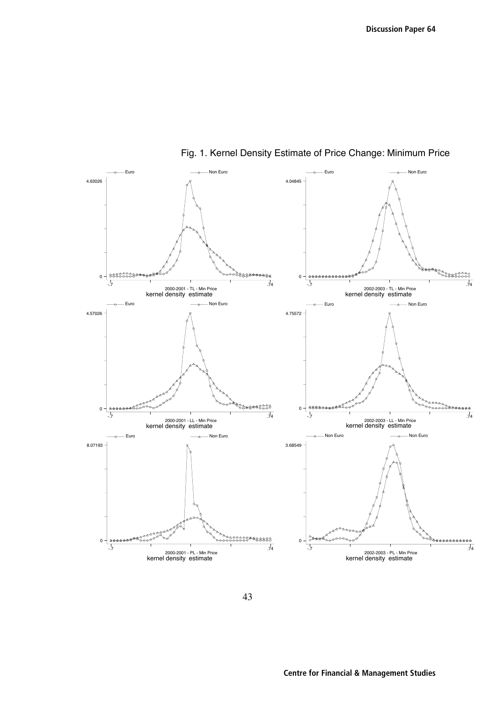

Fig. 1. Kernel Density Estimate of Price Change: Minimum Price

43